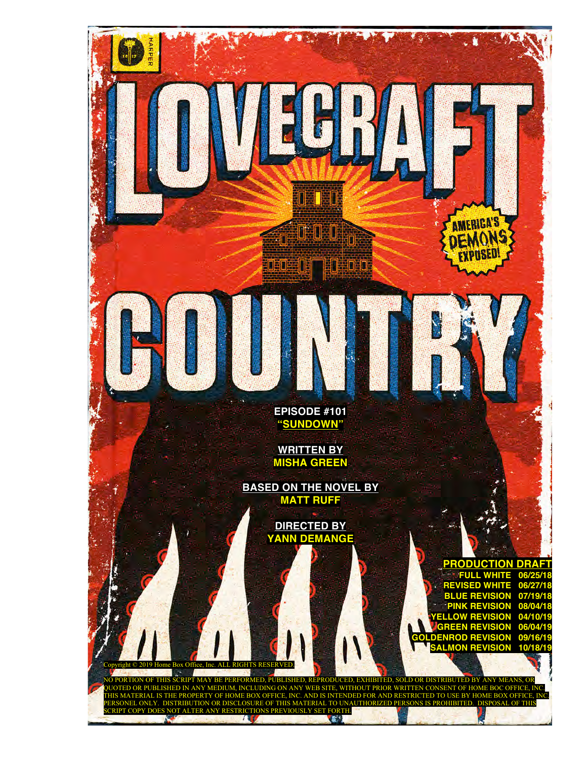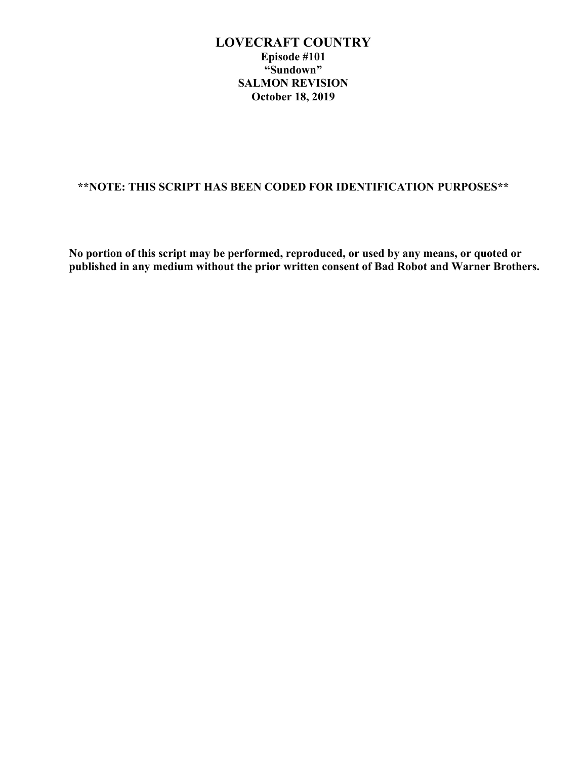# **\*\*NOTE: THIS SCRIPT HAS BEEN CODED FOR IDENTIFICATION PURPOSES\*\***

**No portion of this script may be performed, reproduced, or used by any means, or quoted or published in any medium without the prior written consent of Bad Robot and Warner Brothers.**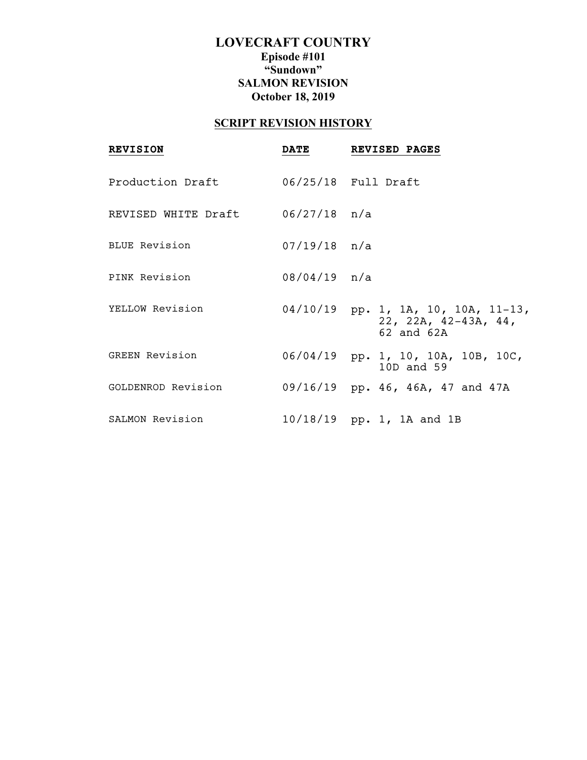# **SCRIPT REVISION HISTORY**

| <b>REVISION</b>                  | <b>DATE</b>    | <b>REVISED PAGES</b>                                                         |
|----------------------------------|----------------|------------------------------------------------------------------------------|
| Production Draft                 |                |                                                                              |
| REVISED WHITE Draft 06/27/18 n/a |                |                                                                              |
| <b>BLUE Revision</b>             | $07/19/18$ n/a |                                                                              |
| PINK Revision                    | 08/04/19 n/a   |                                                                              |
| YELLOW Revision                  |                | 04/10/19 pp. 1, 1A, 10, 10A, 11-13,<br>22, 22A, $42-43A$ , 44,<br>62 and 62A |
| <b>GREEN Revision</b>            |                | 06/04/19 pp. 1, 10, 10A, 10B, 10C,<br>10D and 59                             |
| GOLDENROD Revision               |                | 09/16/19 pp. 46, 46A, 47 and 47A                                             |
| SALMON Revision                  |                | 10/18/19 pp. 1, 1A and 1B                                                    |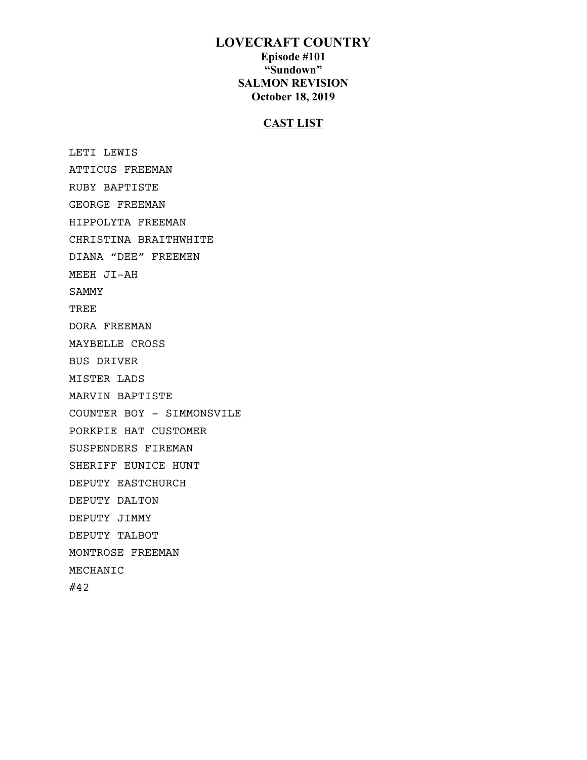## **CAST LIST**

 LETI LEWIS ATTICUS FREEMAN RUBY BAPTISTE GEORGE FREEMAN HIPPOLYTA FREEMAN CHRISTINA BRAITHWHITE DIANA "DEE" FREEMEN MEEH JI-AH SAMMY TREE DORA FREEMAN MAYBELLE CROSS BUS DRIVER MISTER LADS MARVIN BAPTISTE COUNTER BOY - SIMMONSVILE PORKPIE HAT CUSTOMER SUSPENDERS FIREMAN SHERIFF EUNICE HUNT DEPUTY EASTCHURCH DEPUTY DALTON DEPUTY JIMMY DEPUTY TALBOT MONTROSE FREEMAN MECHANIC #42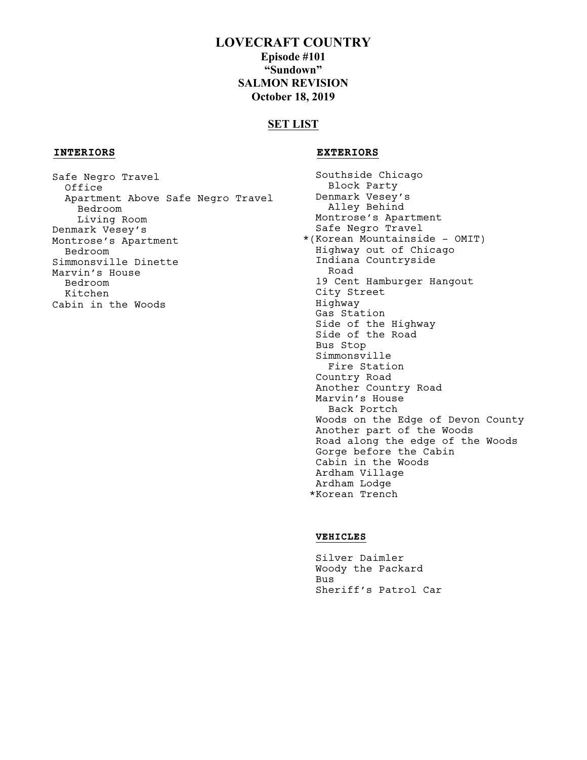## **SET LIST**

## **INTERIORS EXTERIORS**

 Safe Negro Travel Office Apartment Above Safe Negro Travel Bedroom Living Room Denmark Vesey's Montrose's Apartment Bedroom Simmonsville Dinette Marvin's House Bedroom Kitchen Cabin in the Woods

 Southside Chicago Block Party Denmark Vesey's Alley Behind Montrose's Apartment Safe Negro Travel \*(Korean Mountainside - OMIT) Highway out of Chicago Indiana Countryside Road 19 Cent Hamburger Hangout City Street Highway Gas Station Side of the Highway Side of the Road Bus Stop Simmonsville Fire Station Country Road Another Country Road Marvin's House Back Portch Woods on the Edge of Devon County Another part of the Woods Road along the edge of the Woods Gorge before the Cabin Cabin in the Woods Ardham Village Ardham Lodge \*Korean Trench

## **VEHICLES**

 Silver Daimler Woody the Packard Bus Sheriff's Patrol Car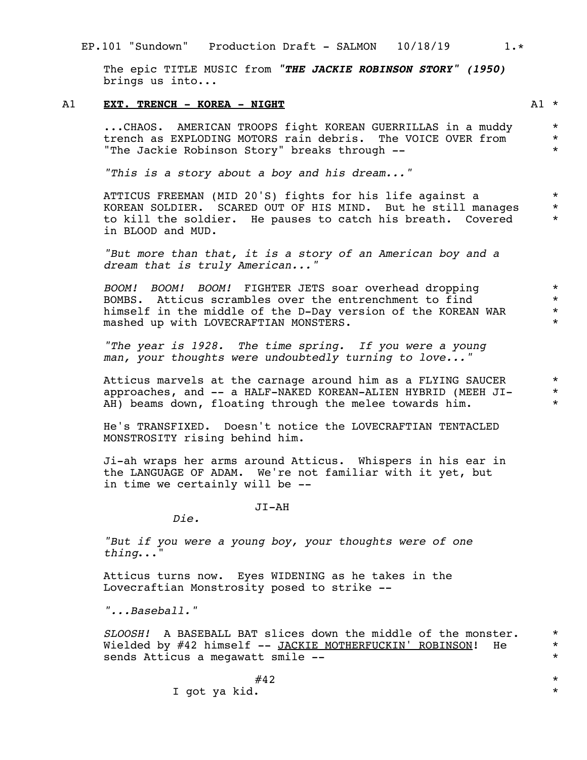## EP.101 "Sundown" Production Draft - SALMON 10/18/19 1.\*

The epic TITLE MUSIC from *"THE JACKIE ROBINSON STORY" (1950)* brings us into...

## A1 **EXT. TRENCH - KOREA - NIGHT A1** \*

...CHAOS. AMERICAN TROOPS fight KOREAN GUERRILLAS in a muddy trench as EXPLODING MOTORS rain debris. The VOICE OVER from "The Jackie Robinson Story" breaks through --

*"This is a story about a boy and his dream..."*

ATTICUS FREEMAN (MID 20'S) fights for his life against a KOREAN SOLDIER. SCARED OUT OF HIS MIND. But he still manages to kill the soldier. He pauses to catch his breath. Covered in BLOOD and MUD. \* \* \*

*"But more than that, it is a story of an American boy and a dream that is truly American..."*

*BOOM! BOOM! BOOM!* FIGHTER JETS soar overhead dropping BOMBS. Atticus scrambles over the entrenchment to find himself in the middle of the D-Day version of the KOREAN WAR mashed up with LOVECRAFTIAN MONSTERS.

*"The year is 1928. The time spring. If you were a young man, your thoughts were undoubtedly turning to love..."*

Atticus marvels at the carnage around him as a FLYING SAUCER approaches, and -- a HALF-NAKED KOREAN-ALIEN HYBRID (MEEH JI-AH) beams down, floating through the melee towards him.

He's TRANSFIXED. Doesn't notice the LOVECRAFTIAN TENTACLED MONSTROSITY rising behind him.

Ji-ah wraps her arms around Atticus. Whispers in his ear in the LANGUAGE OF ADAM. We're not familiar with it yet, but in time we certainly will be --

JI-AH

*Die.*

*"But if you were a young boy, your thoughts were of one thing*..."

Atticus turns now. Eyes WIDENING as he takes in the Lovecraftian Monstrosity posed to strike --

*"...Baseball."*

*SLOOSH!* A BASEBALL BAT slices down the middle of the monster. Wielded by #42 himself -- JACKIE MOTHERFUCKIN' ROBINSON! He sends Atticus a megawatt smile --

> $\#42$  \* I got ya kid.  $*$

\*

\* \*

\* \* \*

\* \* \* \*

\* \* \*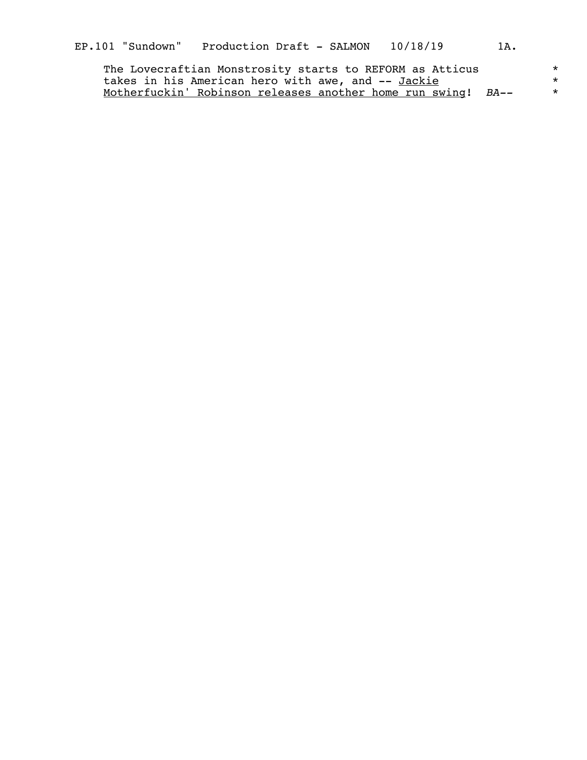| The Lovecraftian Monstrosity starts to REFORM as Atticus            |  |
|---------------------------------------------------------------------|--|
| takes in his American hero with awe, and -- Jackie                  |  |
| <u>Motherfuckin' Robinson releases another home run swing! BA--</u> |  |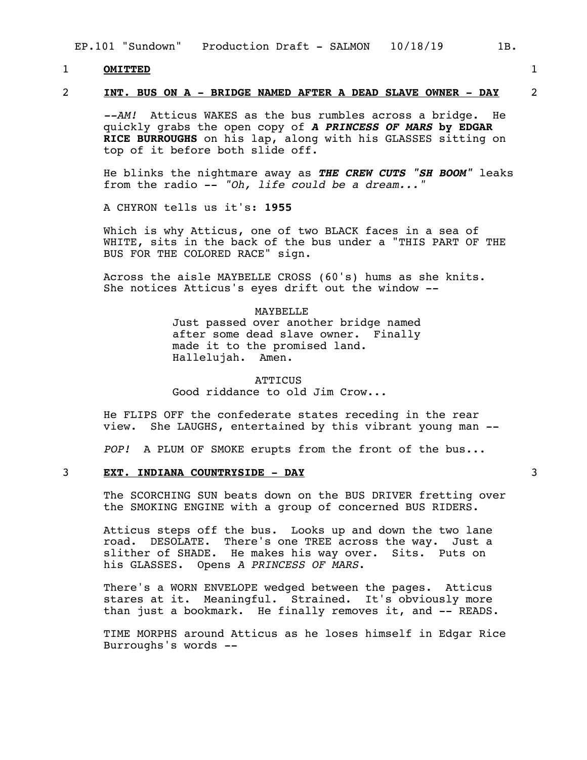## 1 **OMITTED** 1

2 **INT. BUS ON A - BRIDGE NAMED AFTER A DEAD SLAVE OWNER - DAY** 2

*--AM!* Atticus WAKES as the bus rumbles across a bridge. He quickly grabs the open copy of *A PRINCESS OF MARS* **by EDGAR RICE BURROUGHS** on his lap, along with his GLASSES sitting on top of it before both slide off.

He blinks the nightmare away as *THE CREW CUTS "SH BOOM"* leaks from the radio -- *"Oh, life could be a dream..."* 

A CHYRON tells us it's: **1955** 

Which is why Atticus, one of two BLACK faces in a sea of WHITE, sits in the back of the bus under a "THIS PART OF THE BUS FOR THE COLORED RACE" sign.

Across the aisle MAYBELLE CROSS (60's) hums as she knits. She notices Atticus's eyes drift out the window  $--$ 

#### MAYBELLE

Just passed over another bridge named after some dead slave owner. Finally made it to the promised land. Hallelujah. Amen.

**ATTICUS** Good riddance to old Jim Crow...

He FLIPS OFF the confederate states receding in the rear view. She LAUGHS, entertained by this vibrant young man She LAUGHS, entertained by this vibrant young man --

*POP!* A PLUM OF SMOKE erupts from the front of the bus...

## 3 **EXT. INDIANA COUNTRYSIDE - DAY** 3

The SCORCHING SUN beats down on the BUS DRIVER fretting over the SMOKING ENGINE with a group of concerned BUS RIDERS.

Atticus steps off the bus. Looks up and down the two lane road. DESOLATE. There's one TREE across the way. Just a slither of SHADE. He makes his way over. Sits. Puts on his GLASSES. Opens *A PRINCESS OF MARS*.

There's a WORN ENVELOPE wedged between the pages. Atticus stares at it. Meaningful. Strained. It's obviously more than just a bookmark. He finally removes it, and -- READS.

TIME MORPHS around Atticus as he loses himself in Edgar Rice Burroughs's words --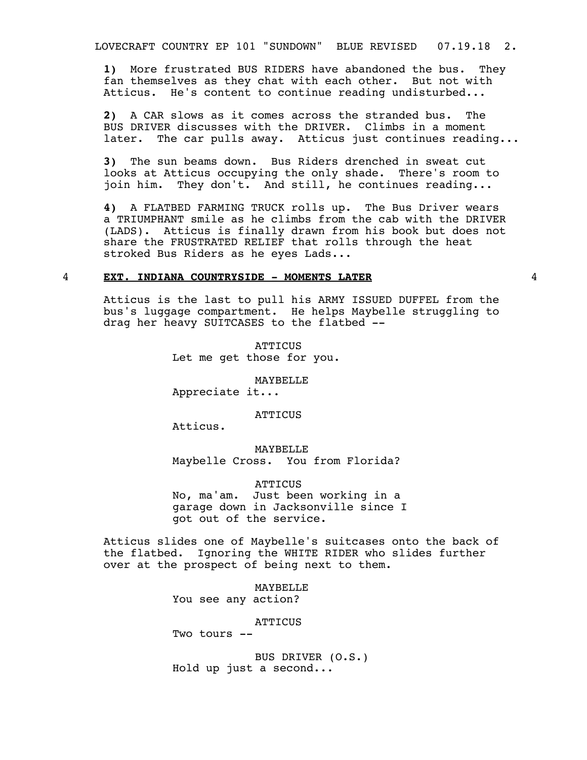LOVECRAFT COUNTRY EP 101 "SUNDOWN" BLUE REVISED 07.19.18 2.

**1)** More frustrated BUS RIDERS have abandoned the bus. They fan themselves as they chat with each other. But not with Atticus. He's content to continue reading undisturbed...

**2)** A CAR slows as it comes across the stranded bus. The BUS DRIVER discusses with the DRIVER. Climbs in a moment later. The car pulls away. Atticus just continues reading...

**3)** The sun beams down. Bus Riders drenched in sweat cut looks at Atticus occupying the only shade. There's room to join him. They don't. And still, he continues reading...

**4)** A FLATBED FARMING TRUCK rolls up. The Bus Driver wears a TRIUMPHANT smile as he climbs from the cab with the DRIVER (LADS). Atticus is finally drawn from his book but does not share the FRUSTRATED RELIEF that rolls through the heat stroked Bus Riders as he eyes Lads...

#### 4 **EXT. INDIANA COUNTRYSIDE - MOMENTS LATER** 4

Atticus is the last to pull his ARMY ISSUED DUFFEL from the bus's luggage compartment. He helps Maybelle struggling to drag her heavy SUITCASES to the flatbed --

> **ATTICUS** Let me get those for you.

> > MAYBELLE

Appreciate it...

**ATTICUS** 

Atticus.

MAYBELLE Maybelle Cross. You from Florida?

ATTICUS No, ma'am. Just been working in a garage down in Jacksonville since I got out of the service.

Atticus slides one of Maybelle's suitcases onto the back of the flatbed. Ignoring the WHITE RIDER who slides further over at the prospect of being next to them.

> MAYBELLE You see any action?

> > **ATTICUS**

Two tours --

BUS DRIVER (O.S.) Hold up just a second...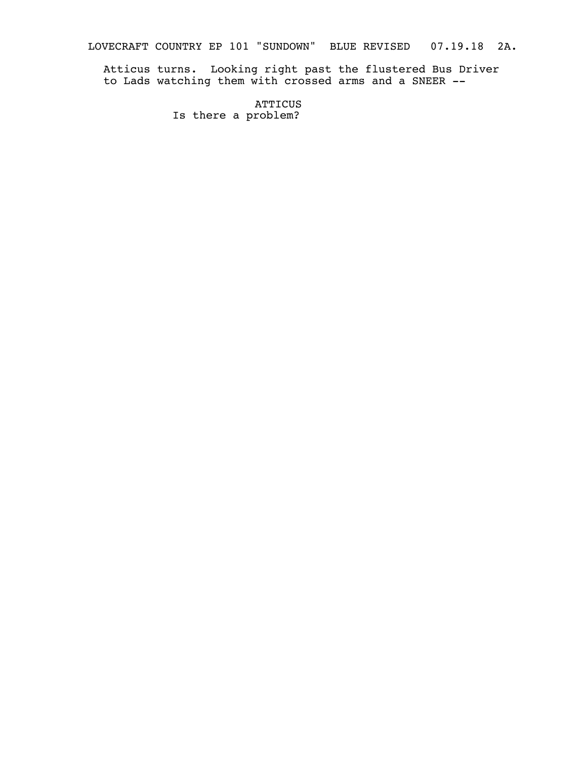LOVECRAFT COUNTRY EP 101 "SUNDOWN" BLUE REVISED 07.19.18 2A.

Atticus turns. Looking right past the flustered Bus Driver to Lads watching them with crossed arms and a SNEER --

> **ATTICUS** Is there a problem?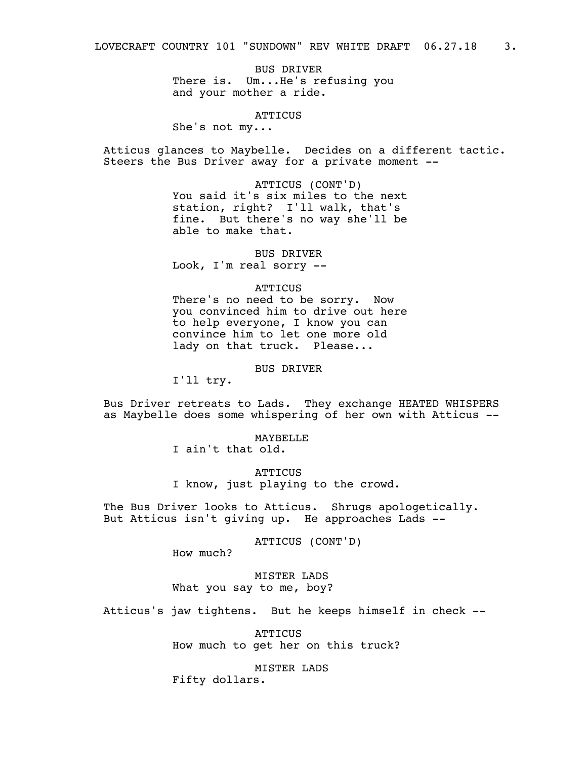BUS DRIVER There is. Um...He's refusing you and your mother a ride.

**ATTICUS** 

She's not my...

Atticus glances to Maybelle. Decides on a different tactic. Steers the Bus Driver away for a private moment --

> ATTICUS (CONT'D) You said it's six miles to the next station, right? I'll walk, that's fine. But there's no way she'll be able to make that.

BUS DRIVER Look, I'm real sorry --

#### **ATTICUS**

There's no need to be sorry. Now you convinced him to drive out here to help everyone, I know you can convince him to let one more old lady on that truck. Please...

BUS DRIVER

I'll try.

Bus Driver retreats to Lads. They exchange HEATED WHISPERS as Maybelle does some whispering of her own with Atticus --

MAYBELLE

I ain't that old.

**ATTICUS** I know, just playing to the crowd.

The Bus Driver looks to Atticus. Shrugs apologetically. But Atticus isn't giving up. He approaches Lads --

ATTICUS (CONT'D)

How much?

MISTER LADS What you say to me, boy?

Atticus's jaw tightens. But he keeps himself in check --

**ATTICUS** How much to get her on this truck?

MISTER LADS Fifty dollars.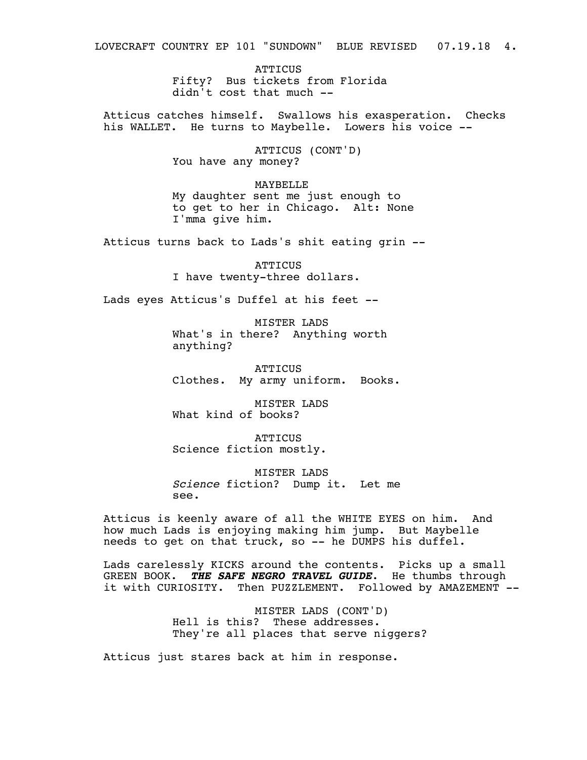LOVECRAFT COUNTRY EP 101 "SUNDOWN" BLUE REVISED 07.19.18 4.

ATTICUS Fifty? Bus tickets from Florida didn't cost that much --

Atticus catches himself. Swallows his exasperation. Checks his WALLET. He turns to Maybelle. Lowers his voice --

> ATTICUS (CONT'D) You have any money?

MAYBELLE My daughter sent me just enough to to get to her in Chicago. Alt: None I'mma give him.

Atticus turns back to Lads's shit eating grin --

**ATTICUS** I have twenty-three dollars.

Lads eyes Atticus's Duffel at his feet --

MISTER LADS What's in there? Anything worth anything?

**ATTICUS** Clothes. My army uniform. Books.

MISTER LADS What kind of books?

**ATTICUS** Science fiction mostly.

MISTER LADS *Science* fiction? Dump it. Let me see.

Atticus is keenly aware of all the WHITE EYES on him. And how much Lads is enjoying making him jump. But Maybelle needs to get on that truck, so -- he DUMPS his duffel.

Lads carelessly KICKS around the contents. Picks up a small GREEN BOOK. *THE SAFE NEGRO TRAVEL GUIDE*. He thumbs through it with CURIOSITY. Then PUZZLEMENT. Followed by AMAZEMENT --

> MISTER LADS (CONT'D) Hell is this? These addresses. They're all places that serve niggers?

Atticus just stares back at him in response.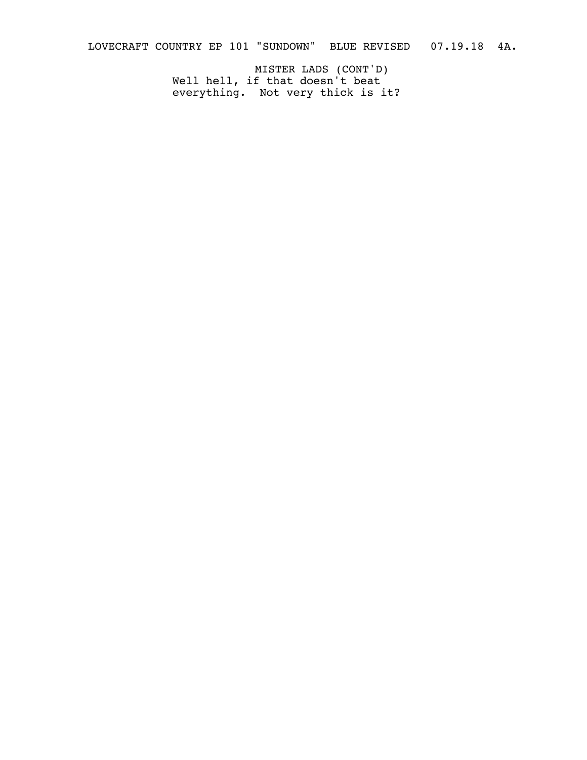LOVECRAFT COUNTRY EP 101 "SUNDOWN" BLUE REVISED 07.19.18 4A.

MISTER LADS (CONT'D) Well hell, if that doesn't beat everything. Not very thick is it?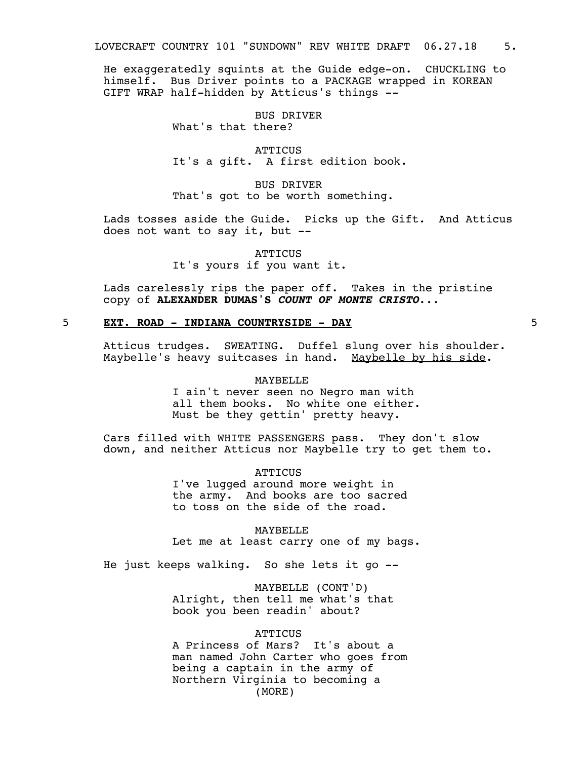He exaggeratedly squints at the Guide edge-on. CHUCKLING to himself. Bus Driver points to a PACKAGE wrapped in KOREAN GIFT WRAP half-hidden by Atticus's things --

> BUS DRIVER What's that there?

**ATTICUS** It's a gift. A first edition book.

BUS DRIVER That's got to be worth something.

Lads tosses aside the Guide. Picks up the Gift. And Atticus does not want to say it, but --

> **ATTICUS** It's yours if you want it.

Lads carelessly rips the paper off. Takes in the pristine copy of **ALEXANDER DUMAS'S** *COUNT OF MONTE CRISTO*...

## 5 **EXT. ROAD - INDIANA COUNTRYSIDE - DAY** 5

Atticus trudges. SWEATING. Duffel slung over his shoulder. Maybelle's heavy suitcases in hand. Maybelle by his side.

#### MAYBELLE

I ain't never seen no Negro man with all them books. No white one either. Must be they gettin' pretty heavy.

Cars filled with WHITE PASSENGERS pass. They don't slow down, and neither Atticus nor Maybelle try to get them to.

> **ATTICUS** I've lugged around more weight in the army. And books are too sacred to toss on the side of the road.

MAYBELLE Let me at least carry one of my bags.

He just keeps walking. So she lets it go --

MAYBELLE (CONT'D) Alright, then tell me what's that book you been readin' about?

#### **ATTICUS**

A Princess of Mars? It's about a man named John Carter who goes from being a captain in the army of Northern Virginia to becoming a (MORE)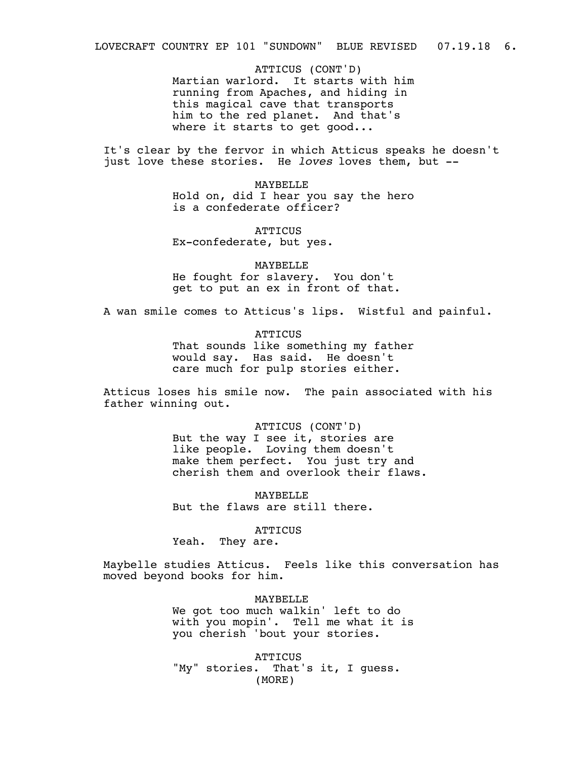LOVECRAFT COUNTRY EP 101 "SUNDOWN" BLUE REVISED 07.19.18 6.

ATTICUS (CONT'D) Martian warlord. It starts with him running from Apaches, and hiding in this magical cave that transports him to the red planet. And that's where it starts to get good...

It's clear by the fervor in which Atticus speaks he doesn't just love these stories. He *loves* loves them, but --

> MAYBELLE Hold on, did I hear you say the hero is a confederate officer?

**ATTICUS** Ex-confederate, but yes.

MAYBELLE He fought for slavery. You don't get to put an ex in front of that.

A wan smile comes to Atticus's lips. Wistful and painful.

**ATTICUS** 

That sounds like something my father would say. Has said. He doesn't care much for pulp stories either.

Atticus loses his smile now. The pain associated with his father winning out.

> ATTICUS (CONT'D) But the way I see it, stories are like people. Loving them doesn't make them perfect. You just try and cherish them and overlook their flaws.

**MAYBELLE** But the flaws are still there.

**ATTICUS** 

Yeah. They are.

Maybelle studies Atticus. Feels like this conversation has moved beyond books for him.

> MAYBELLE We got too much walkin' left to do with you mopin'. Tell me what it is you cherish 'bout your stories.

**ATTICUS** "My" stories. That's it, I guess. (MORE)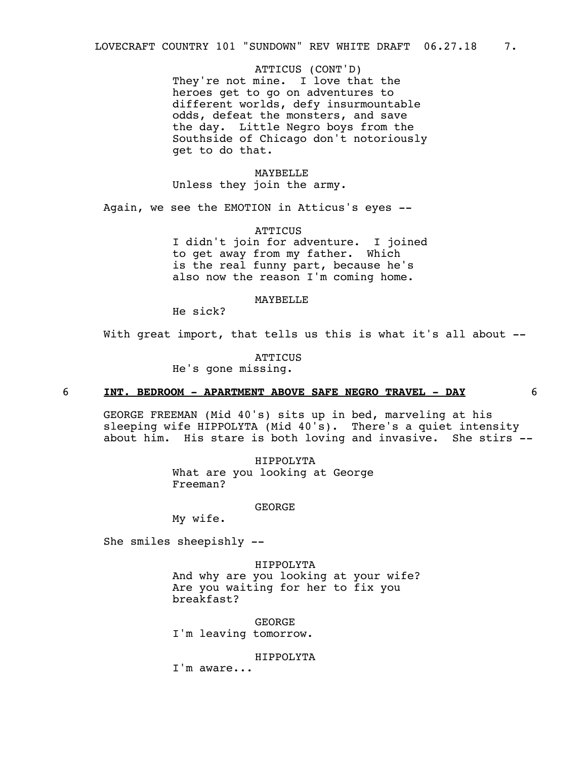ATTICUS (CONT'D) They're not mine. I love that the heroes get to go on adventures to different worlds, defy insurmountable odds, defeat the monsters, and save the day. Little Negro boys from the Southside of Chicago don't notoriously get to do that.

MAYBELLE Unless they join the army.

Again, we see the EMOTION in Atticus's eyes --

**ATTICUS** I didn't join for adventure. I joined to get away from my father. Which is the real funny part, because he's also now the reason I'm coming home.

## MAYBELLE

He sick?

With great import, that tells us this is what it's all about --

**ATTICUS** 

He's gone missing.

## 6 **INT. BEDROOM - APARTMENT ABOVE SAFE NEGRO TRAVEL - DAY** 6

GEORGE FREEMAN (Mid 40's) sits up in bed, marveling at his sleeping wife HIPPOLYTA (Mid 40's). There's a quiet intensity about him. His stare is both loving and invasive. She stirs --

> HIPPOLYTA What are you looking at George Freeman?

> > GEORGE

My wife.

She smiles sheepishly --

HIPPOLYTA And why are you looking at your wife? Are you waiting for her to fix you breakfast?

GEORGE I'm leaving tomorrow.

HIPPOLYTA

I'm aware...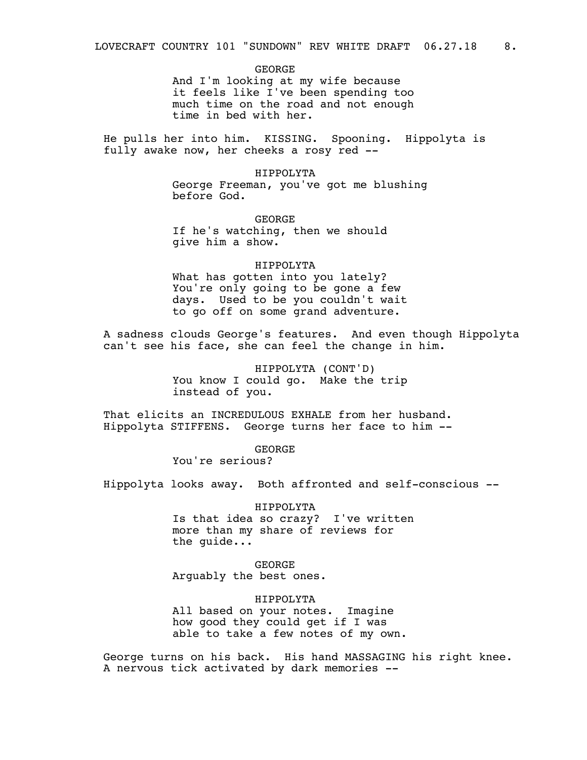GEORGE And I'm looking at my wife because

it feels like I've been spending too much time on the road and not enough time in bed with her.

He pulls her into him. KISSING. Spooning. Hippolyta is fully awake now, her cheeks a rosy red --

> HIPPOLYTA George Freeman, you've got me blushing before God.

GEORGE If he's watching, then we should give him a show.

HIPPOLYTA What has gotten into you lately? You're only going to be gone a few days. Used to be you couldn't wait to go off on some grand adventure.

A sadness clouds George's features. And even though Hippolyta can't see his face, she can feel the change in him.

> HIPPOLYTA (CONT'D) You know I could go. Make the trip instead of you.

That elicits an INCREDULOUS EXHALE from her husband. Hippolyta STIFFENS. George turns her face to him --

> GEORGE You're serious?

Hippolyta looks away. Both affronted and self-conscious --

HIPPOLYTA

Is that idea so crazy? I've written more than my share of reviews for the guide...

GEORGE Arguably the best ones.

HIPPOLYTA

All based on your notes. Imagine how good they could get if I was able to take a few notes of my own.

George turns on his back. His hand MASSAGING his right knee. A nervous tick activated by dark memories --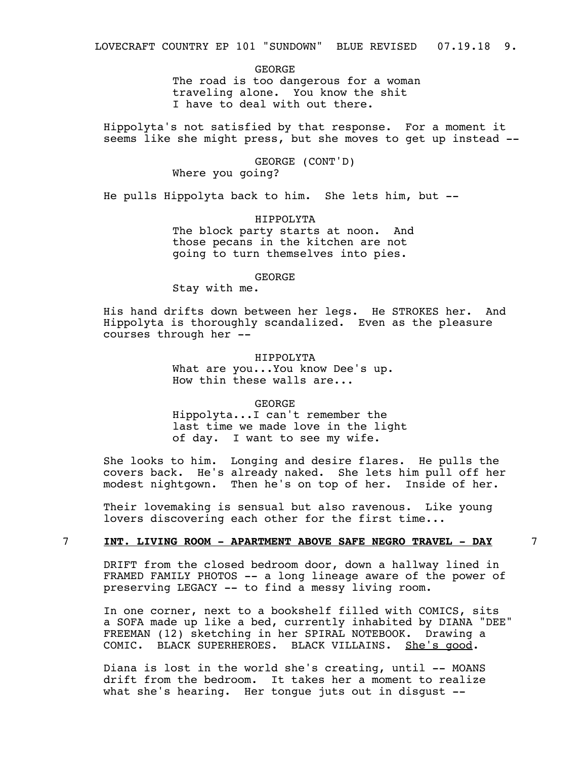GEORGE The road is too dangerous for a woman traveling alone. You know the shit I have to deal with out there.

Hippolyta's not satisfied by that response. For a moment it seems like she might press, but she moves to get up instead --

> GEORGE (CONT'D) Where you going?

He pulls Hippolyta back to him. She lets him, but --

HIPPOLYTA The block party starts at noon. And those pecans in the kitchen are not going to turn themselves into pies.

GEORGE

Stay with me.

His hand drifts down between her legs. He STROKES her. And Hippolyta is thoroughly scandalized. Even as the pleasure courses through her --

> HIPPOLYTA What are you...You know Dee's up. How thin these walls are...

GEORGE Hippolyta...I can't remember the last time we made love in the light of day. I want to see my wife.

She looks to him. Longing and desire flares. He pulls the covers back. He's already naked. She lets him pull off her modest nightgown. Then he's on top of her. Inside of her.

Their lovemaking is sensual but also ravenous. Like young lovers discovering each other for the first time...

## 7 **INT. LIVING ROOM - APARTMENT ABOVE SAFE NEGRO TRAVEL - DAY** 7

DRIFT from the closed bedroom door, down a hallway lined in FRAMED FAMILY PHOTOS -- a long lineage aware of the power of preserving LEGACY -- to find a messy living room.

In one corner, next to a bookshelf filled with COMICS, sits a SOFA made up like a bed, currently inhabited by DIANA "DEE" FREEMAN (12) sketching in her SPIRAL NOTEBOOK. Drawing a COMIC. BLACK SUPERHEROES. BLACK VILLAINS. She's good.

Diana is lost in the world she's creating, until -- MOANS drift from the bedroom. It takes her a moment to realize what she's hearing. Her tongue juts out in disgust --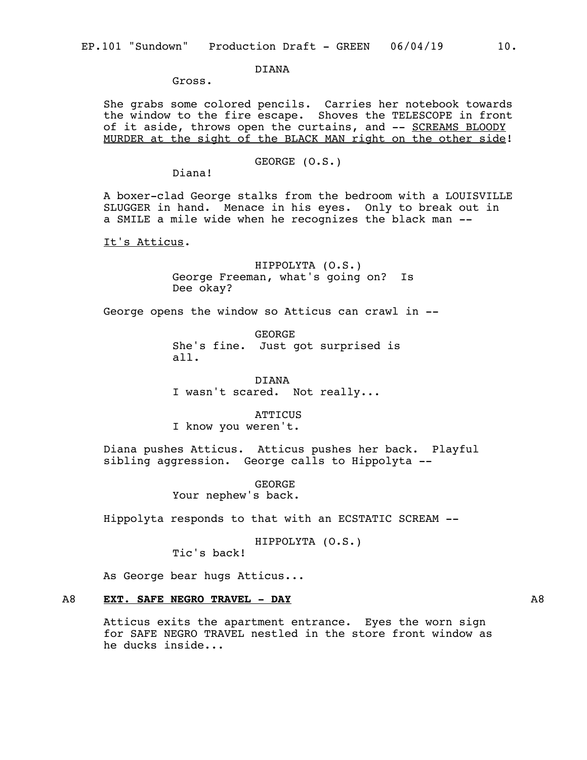DIANA

Gross.

She grabs some colored pencils. Carries her notebook towards the window to the fire escape. Shoves the TELESCOPE in front of it aside, throws open the curtains, and -- SCREAMS BLOODY MURDER at the sight of the BLACK MAN right on the other side!

GEORGE (O.S.)

Diana!

A boxer-clad George stalks from the bedroom with a LOUISVILLE SLUGGER in hand. Menace in his eyes. Only to break out in a SMILE a mile wide when he recognizes the black man --

It's Atticus.

HIPPOLYTA (O.S.) George Freeman, what's going on? Is Dee okay?

George opens the window so Atticus can crawl in --

**GEORGF** She's fine. Just got surprised is all.

DIANA I wasn't scared. Not really...

**ATTICUS** I know you weren't.

Diana pushes Atticus. Atticus pushes her back. Playful sibling aggression. George calls to Hippolyta --

> GEORGE Your nephew's back.

Hippolyta responds to that with an ECSTATIC SCREAM --

HIPPOLYTA (O.S.)

Tic's back!

As George bear hugs Atticus...

## A8 **EXT. SAFE NEGRO TRAVEL - DAY** A8

Atticus exits the apartment entrance. Eyes the worn sign for SAFE NEGRO TRAVEL nestled in the store front window as he ducks inside...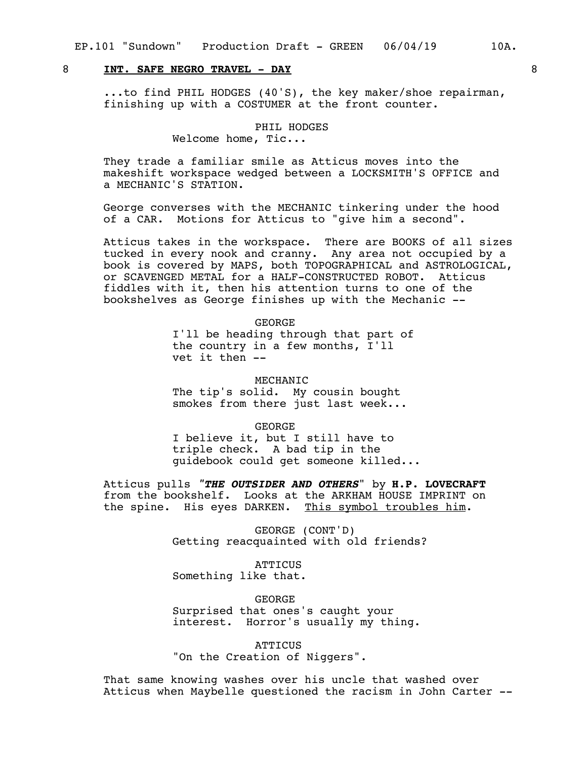## 8 **INT. SAFE NEGRO TRAVEL - DAY** 8

...to find PHIL HODGES (40'S), the key maker/shoe repairman, finishing up with a COSTUMER at the front counter.

## PHIL HODGES

Welcome home, Tic...

They trade a familiar smile as Atticus moves into the makeshift workspace wedged between a LOCKSMITH'S OFFICE and a MECHANIC'S STATION.

George converses with the MECHANIC tinkering under the hood of a CAR. Motions for Atticus to "give him a second".

Atticus takes in the workspace. There are BOOKS of all sizes tucked in every nook and cranny. Any area not occupied by a book is covered by MAPS, both TOPOGRAPHICAL and ASTROLOGICAL, or SCAVENGED METAL for a HALF-CONSTRUCTED ROBOT. Atticus fiddles with it, then his attention turns to one of the bookshelves as George finishes up with the Mechanic --

GEORGE

I'll be heading through that part of the country in a few months, I'll vet it then --

MECHANIC

The tip's solid. My cousin bought smokes from there just last week...

GEORGE

I believe it, but I still have to triple check. A bad tip in the guidebook could get someone killed...

Atticus pulls *"THE OUTSIDER AND OTHERS*" by **H.P. LOVECRAFT** from the bookshelf. Looks at the ARKHAM HOUSE IMPRINT on the spine. His eyes DARKEN. This symbol troubles him.

> GEORGE (CONT'D) Getting reacquainted with old friends?

> > **ATTICUS**

Something like that.

GEORGE Surprised that ones's caught your interest. Horror's usually my thing.

**ATTICUS** "On the Creation of Niggers".

That same knowing washes over his uncle that washed over Atticus when Maybelle questioned the racism in John Carter --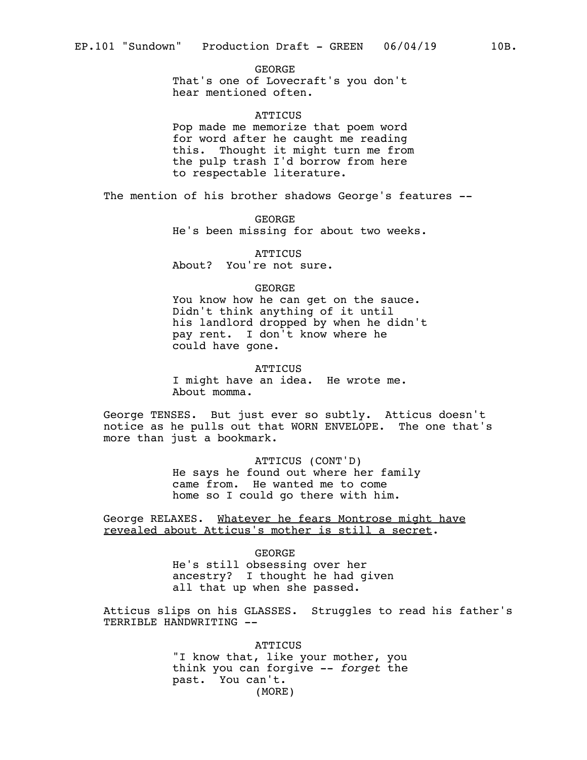GEORGE That's one of Lovecraft's you don't hear mentioned often.

#### **ATTICUS**

Pop made me memorize that poem word for word after he caught me reading this. Thought it might turn me from the pulp trash I'd borrow from here to respectable literature.

The mention of his brother shadows George's features --

GEORGE He's been missing for about two weeks.

**ATTICUS** About? You're not sure.

#### GEORGE

You know how he can get on the sauce. Didn't think anything of it until his landlord dropped by when he didn't pay rent. I don't know where he could have gone.

**ATTICUS** 

I might have an idea. He wrote me. About momma.

George TENSES. But just ever so subtly. Atticus doesn't notice as he pulls out that WORN ENVELOPE. The one that's more than just a bookmark.

> ATTICUS (CONT'D) He says he found out where her family came from. He wanted me to come home so I could go there with him.

George RELAXES. Whatever he fears Montrose might have revealed about Atticus's mother is still a secret.

> GEORGE He's still obsessing over her ancestry? I thought he had given all that up when she passed.

Atticus slips on his GLASSES. Struggles to read his father's TERRIBLE HANDWRITING --

> **ATTICUS** "I know that, like your mother, you think you can forgive -- *forget* the past. You can't. (MORE)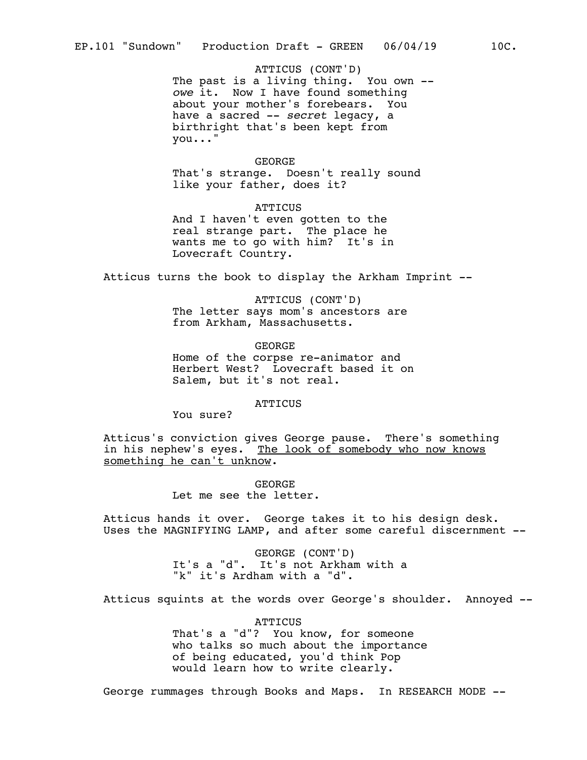ATTICUS (CONT'D) The past is a living thing. You own - *owe* it. Now I have found something about your mother's forebears. You have a sacred -- *secret* legacy, a birthright that's been kept from you..."

#### GEORGE

That's strange. Doesn't really sound like your father, does it?

**ATTICUS** And I haven't even gotten to the real strange part. The place he wants me to go with him? It's in Lovecraft Country.

Atticus turns the book to display the Arkham Imprint --

ATTICUS (CONT'D) The letter says mom's ancestors are from Arkham, Massachusetts.

GEORGE Home of the corpse re-animator and Herbert West? Lovecraft based it on Salem, but it's not real.

ATTICUS

You sure?

Atticus's conviction gives George pause. There's something in his nephew's eyes. The look of somebody who now knows something he can't unknow.

> GEORGE Let me see the letter.

Atticus hands it over. George takes it to his design desk. Uses the MAGNIFYING LAMP, and after some careful discernment --

> GEORGE (CONT'D) It's a "d". It's not Arkham with a "k" it's Ardham with a "d".

Atticus squints at the words over George's shoulder. Annoyed --

**ATTICUS** That's a "d"? You know, for someone who talks so much about the importance of being educated, you'd think Pop would learn how to write clearly.

George rummages through Books and Maps. In RESEARCH MODE --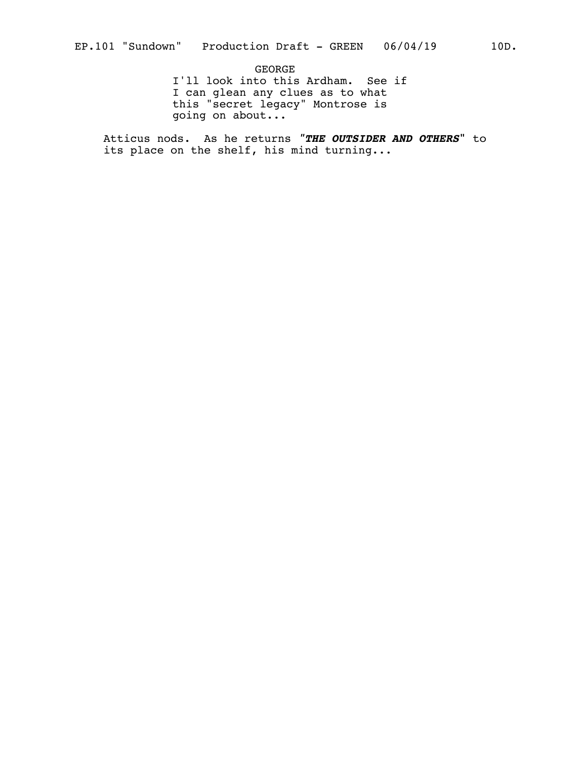GEORGE I'll look into this Ardham. See if I can glean any clues as to what this "secret legacy" Montrose is going on about...

Atticus nods. As he returns *"THE OUTSIDER AND OTHERS***"** to its place on the shelf, his mind turning...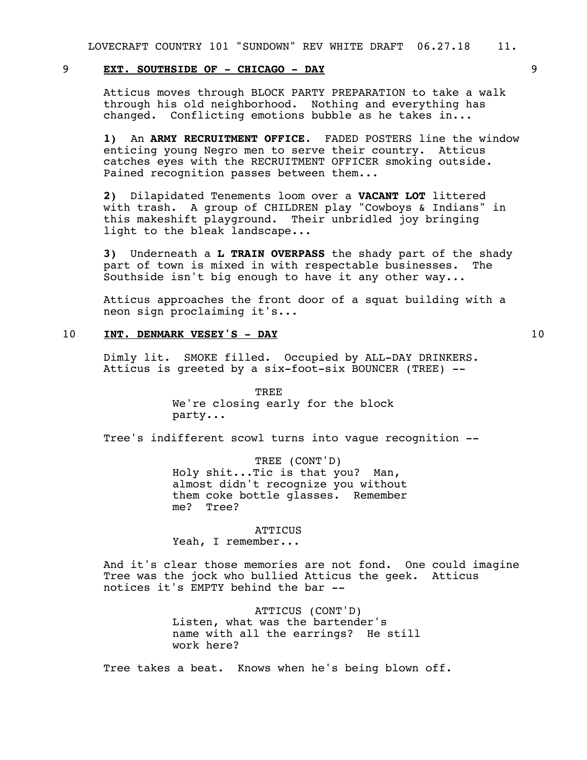## 9 **EXT. SOUTHSIDE OF - CHICAGO - DAY** 9

Atticus moves through BLOCK PARTY PREPARATION to take a walk through his old neighborhood. Nothing and everything has changed. Conflicting emotions bubble as he takes in...

**1)** An **ARMY RECRUITMENT OFFICE**. FADED POSTERS line the window enticing young Negro men to serve their country. Atticus catches eyes with the RECRUITMENT OFFICER smoking outside. Pained recognition passes between them...

**2)** Dilapidated Tenements loom over a **VACANT LOT** littered with trash. A group of CHILDREN play "Cowboys & Indians" in this makeshift playground. Their unbridled joy bringing light to the bleak landscape...

**3)** Underneath a **L TRAIN OVERPASS** the shady part of the shady part of town is mixed in with respectable businesses. The Southside isn't big enough to have it any other way...

Atticus approaches the front door of a squat building with a neon sign proclaiming it's...

## 10 **INT. DENMARK VESEY'S - DAY** 10

Dimly lit. SMOKE filled. Occupied by ALL-DAY DRINKERS. Atticus is greeted by a  $six-foot-six$  BOUNCER (TREE)  $--$ 

> TREE We're closing early for the block party...

Tree's indifferent scowl turns into vague recognition --

TREE (CONT'D) Holy shit...Tic is that you? Man, almost didn't recognize you without them coke bottle glasses. Remember me? Tree?

#### **ATTICUS**

Yeah, I remember...

And it's clear those memories are not fond. One could imagine Tree was the jock who bullied Atticus the geek. Atticus notices it's EMPTY behind the bar --

> ATTICUS (CONT'D) Listen, what was the bartender's name with all the earrings? He still work here?

Tree takes a beat. Knows when he's being blown off.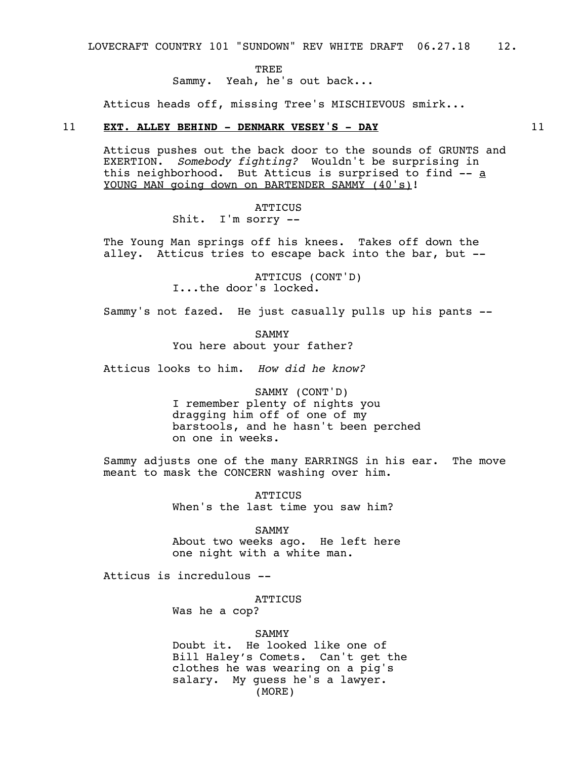LOVECRAFT COUNTRY 101 "SUNDOWN" REV WHITE DRAFT 06.27.18 12.

TREE

Sammy. Yeah, he's out back...

Atticus heads off, missing Tree's MISCHIEVOUS smirk...

## 11 **EXT. ALLEY BEHIND - DENMARK VESEY'S - DAY** 11

Atticus pushes out the back door to the sounds of GRUNTS and EXERTION. *Somebody fighting?* Wouldn't be surprising in this neighborhood. But Atticus is surprised to find -- a YOUNG MAN going down on BARTENDER SAMMY (40's)!

> **ATTICUS** Shit. I'm sorry --

The Young Man springs off his knees. Takes off down the alley. Atticus tries to escape back into the bar, but --

> ATTICUS (CONT'D) I...the door's locked.

Sammy's not fazed. He just casually pulls up his pants --

SAMMY You here about your father?

Atticus looks to him. *How did he know?*

SAMMY (CONT'D) I remember plenty of nights you dragging him off of one of my barstools, and he hasn't been perched on one in weeks.

Sammy adjusts one of the many EARRINGS in his ear. The move meant to mask the CONCERN washing over him.

> **ATTICUS** When's the last time you saw him?

SAMMY About two weeks ago. He left here one night with a white man.

Atticus is incredulous --

ATTICUS

Was he a cop?

SAMMY

Doubt it. He looked like one of Bill Haley's Comets. Can't get the clothes he was wearing on a pig's salary. My guess he's a lawyer. (MORE)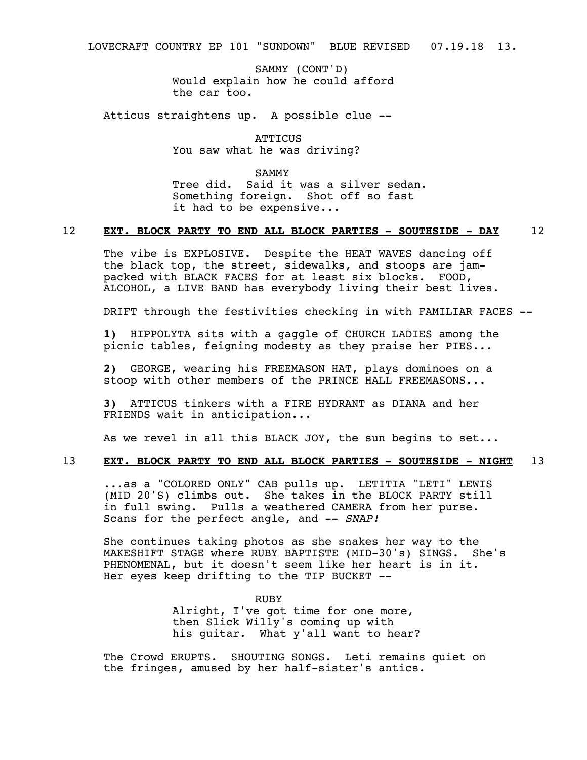LOVECRAFT COUNTRY EP 101 "SUNDOWN" BLUE REVISED 07.19.18 13.

SAMMY (CONT'D) Would explain how he could afford the car too.

Atticus straightens up. A possible clue --

ATTICUS You saw what he was driving?

SAMMY

Tree did. Said it was a silver sedan. Something foreign. Shot off so fast it had to be expensive...

## 12 **EXT. BLOCK PARTY TO END ALL BLOCK PARTIES - SOUTHSIDE - DAY** 12

The vibe is EXPLOSIVE. Despite the HEAT WAVES dancing off the black top, the street, sidewalks, and stoops are jampacked with BLACK FACES for at least six blocks. FOOD, ALCOHOL, a LIVE BAND has everybody living their best lives.

DRIFT through the festivities checking in with FAMILIAR FACES --

**1)** HIPPOLYTA sits with a gaggle of CHURCH LADIES among the picnic tables, feigning modesty as they praise her PIES...

**2)** GEORGE, wearing his FREEMASON HAT, plays dominoes on a stoop with other members of the PRINCE HALL FREEMASONS...

**3)** ATTICUS tinkers with a FIRE HYDRANT as DIANA and her FRIENDS wait in anticipation...

As we revel in all this BLACK JOY, the sun begins to set...

#### 13 **EXT. BLOCK PARTY TO END ALL BLOCK PARTIES - SOUTHSIDE - NIGHT** 13

...as a "COLORED ONLY" CAB pulls up. LETITIA "LETI" LEWIS (MID 20'S) climbs out. She takes in the BLOCK PARTY still in full swing. Pulls a weathered CAMERA from her purse. Scans for the perfect angle, and -- *SNAP!*

She continues taking photos as she snakes her way to the MAKESHIFT STAGE where RUBY BAPTISTE (MID-30's) SINGS. She's PHENOMENAL, but it doesn't seem like her heart is in it. Her eyes keep drifting to the TIP BUCKET --

> RUBY Alright, I've got time for one more, then Slick Willy's coming up with his guitar. What y'all want to hear?

The Crowd ERUPTS. SHOUTING SONGS. Leti remains quiet on the fringes, amused by her half-sister's antics.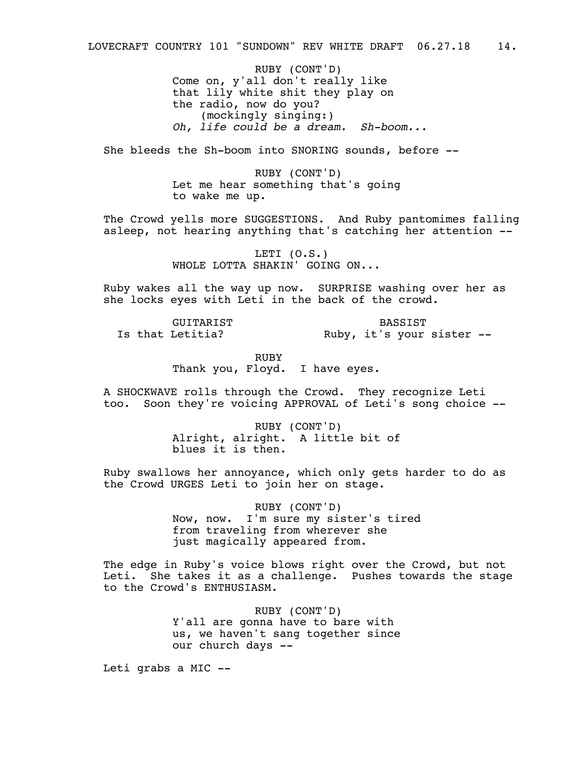RUBY (CONT'D) Come on, y'all don't really like that lily white shit they play on the radio, now do you? (mockingly singing:) *Oh, life could be a dream. Sh-boom...*

She bleeds the Sh-boom into SNORING sounds, before --

RUBY (CONT'D) Let me hear something that's going to wake me up.

The Crowd yells more SUGGESTIONS. And Ruby pantomimes falling asleep, not hearing anything that's catching her attention --

> LETI (O.S.) WHOLE LOTTA SHAKIN' GOING ON...

Ruby wakes all the way up now. SURPRISE washing over her as she locks eyes with Leti in the back of the crowd.

GUITARIST Is that Letitia?

BASSIST Ruby, it's your sister --

RUBY Thank you, Floyd. I have eyes.

A SHOCKWAVE rolls through the Crowd. They recognize Leti too. Soon they're voicing APPROVAL of Leti's song choice --

> RUBY (CONT'D) Alright, alright. A little bit of blues it is then.

Ruby swallows her annoyance, which only gets harder to do as the Crowd URGES Leti to join her on stage.

> RUBY (CONT'D) Now, now. I'm sure my sister's tired from traveling from wherever she just magically appeared from.

The edge in Ruby's voice blows right over the Crowd, but not Leti. She takes it as a challenge. Pushes towards the stage to the Crowd's ENTHUSIASM.

> RUBY (CONT'D) Y'all are gonna have to bare with us, we haven't sang together since our church days --

Leti grabs a MIC --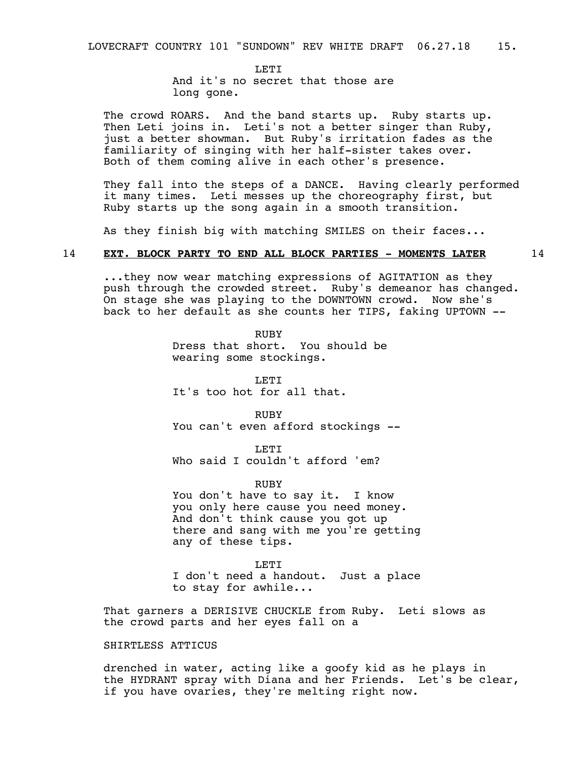**LETT** And it's no secret that those are long gone.

The crowd ROARS. And the band starts up. Ruby starts up. Then Leti joins in. Leti's not a better singer than Ruby, just a better showman. But Ruby's irritation fades as the familiarity of singing with her half-sister takes over. Both of them coming alive in each other's presence.

They fall into the steps of a DANCE. Having clearly performed it many times. Leti messes up the choreography first, but Ruby starts up the song again in a smooth transition.

As they finish big with matching SMILES on their faces...

#### 14 **EXT. BLOCK PARTY TO END ALL BLOCK PARTIES - MOMENTS LATER** 14

...they now wear matching expressions of AGITATION as they push through the crowded street. Ruby's demeanor has changed. On stage she was playing to the DOWNTOWN crowd. Now she's back to her default as she counts her TIPS, faking UPTOWN --

> RUBY Dress that short. You should be wearing some stockings.

LETI It's too hot for all that.

RUBY You can't even afford stockings --

**LETT** Who said I couldn't afford 'em?

RUBY

You don't have to say it. I know you only here cause you need money. And don't think cause you got up there and sang with me you're getting any of these tips.

LETI I don't need a handout. Just a place to stay for awhile...

That garners a DERISIVE CHUCKLE from Ruby. Leti slows as the crowd parts and her eyes fall on a

## SHIRTLESS ATTICUS

drenched in water, acting like a goofy kid as he plays in the HYDRANT spray with Diana and her Friends. Let's be clear, if you have ovaries, they're melting right now.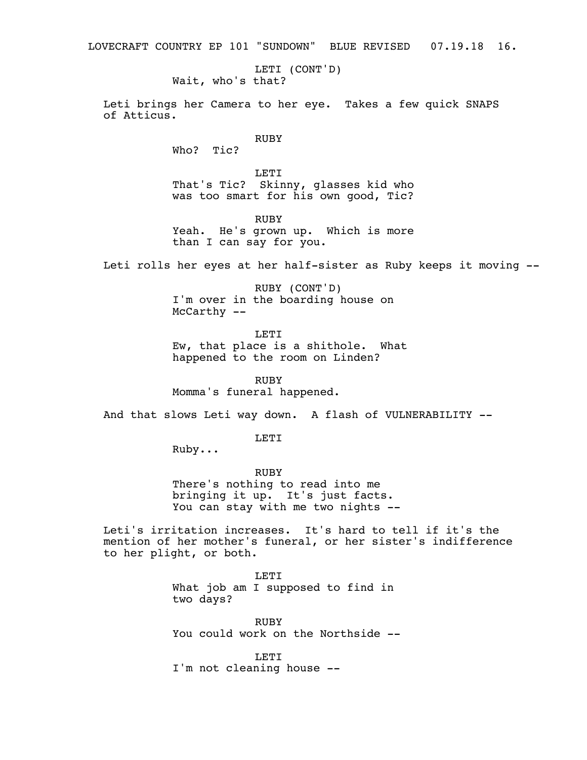LOVECRAFT COUNTRY EP 101 "SUNDOWN" BLUE REVISED 07.19.18 16.

LETI (CONT'D) Wait, who's that?

Leti brings her Camera to her eye. Takes a few quick SNAPS of Atticus.

## RUBY

Who? Tic?

LETI That's Tic? Skinny, glasses kid who was too smart for his own good, Tic?

RUBY

Yeah. He's grown up. Which is more than I can say for you.

Leti rolls her eyes at her half-sister as Ruby keeps it moving --

RUBY (CONT'D) I'm over in the boarding house on McCarthy --

LETI

Ew, that place is a shithole. What happened to the room on Linden?

RUBY Momma's funeral happened.

And that slows Leti way down. A flash of VULNERABILITY --

LETI

Ruby...

RUBY There's nothing to read into me bringing it up. It's just facts. You can stay with me two nights --

Leti's irritation increases. It's hard to tell if it's the mention of her mother's funeral, or her sister's indifference to her plight, or both.

> LETI What job am I supposed to find in two days?

RUBY You could work on the Northside --

LETT<sub>1</sub> I'm not cleaning house --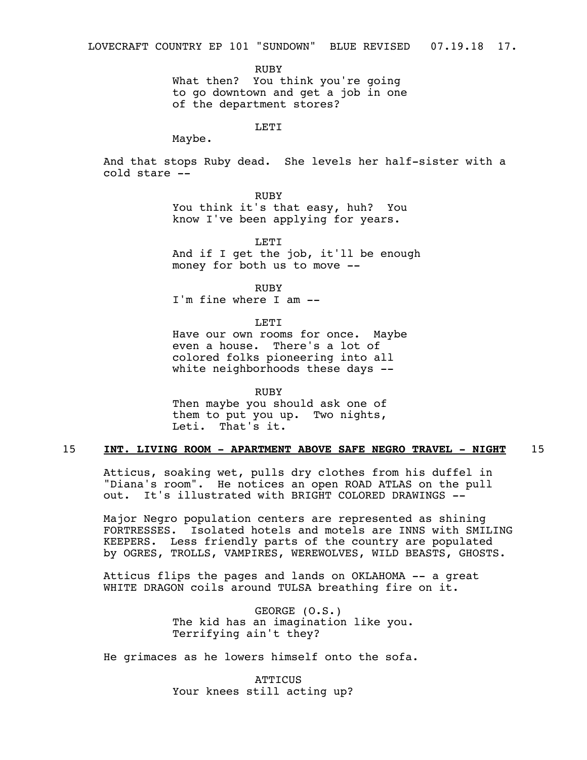RUBY

What then? You think you're going to go downtown and get a job in one of the department stores?

LETI

Maybe.

And that stops Ruby dead. She levels her half-sister with a cold stare --

> RUBY You think it's that easy, huh? You know I've been applying for years.

LETI And if I get the job, it'll be enough money for both us to move --

RUBY I'm fine where I am --

LETI

Have our own rooms for once. Maybe even a house. There's a lot of colored folks pioneering into all white neighborhoods these days --

RUBY Then maybe you should ask one of them to put you up. Two nights, Leti. That's it.

## 15 **INT. LIVING ROOM - APARTMENT ABOVE SAFE NEGRO TRAVEL - NIGHT** 15

Atticus, soaking wet, pulls dry clothes from his duffel in "Diana's room". He notices an open ROAD ATLAS on the pull<br>out. It's illustrated with BRIGHT COLORED DRAWINGS --It's illustrated with BRIGHT COLORED DRAWINGS --

Major Negro population centers are represented as shining FORTRESSES. Isolated hotels and motels are INNS with SMILING KEEPERS. Less friendly parts of the country are populated by OGRES, TROLLS, VAMPIRES, WEREWOLVES, WILD BEASTS, GHOSTS.

Atticus flips the pages and lands on OKLAHOMA -- a great WHITE DRAGON coils around TULSA breathing fire on it.

> GEORGE (O.S.) The kid has an imagination like you. Terrifying ain't they?

He grimaces as he lowers himself onto the sofa.

**ATTICUS** Your knees still acting up?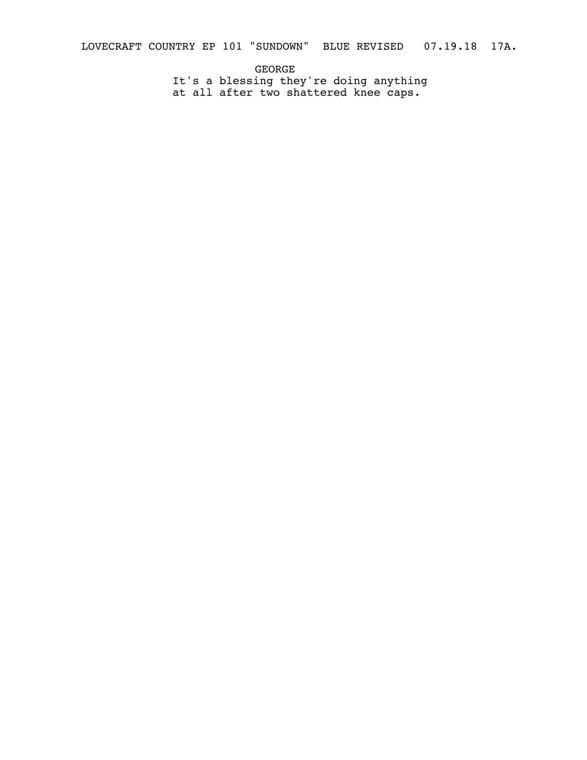LOVECRAFT COUNTRY EP 101 "SUNDOWN" BLUE REVISED 07.19.18 17A.

GEORGE It's a blessing they're doing anything at all after two shattered knee caps.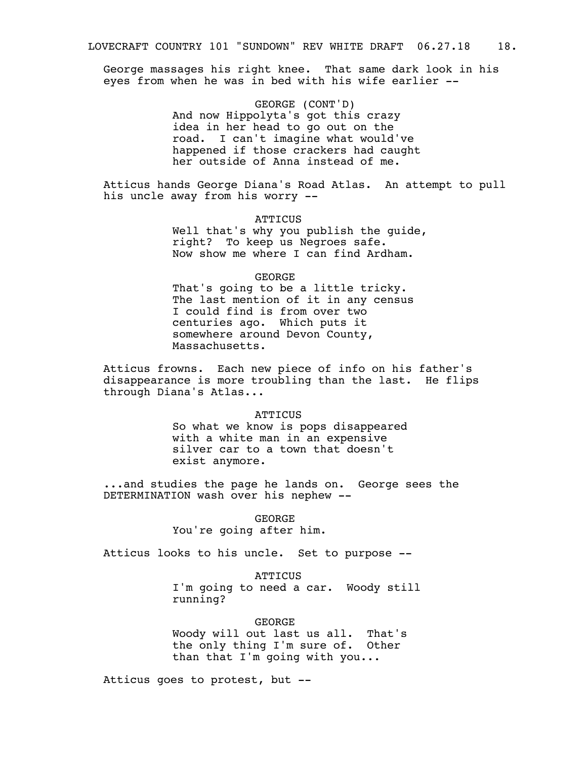George massages his right knee. That same dark look in his eyes from when he was in bed with his wife earlier --

> GEORGE (CONT'D) And now Hippolyta's got this crazy idea in her head to go out on the road. I can't imagine what would've happened if those crackers had caught her outside of Anna instead of me.

Atticus hands George Diana's Road Atlas. An attempt to pull his uncle away from his worry --

#### **ATTICUS**

Well that's why you publish the guide, right? To keep us Negroes safe. Now show me where I can find Ardham.

## GEORGE

That's going to be a little tricky. The last mention of it in any census I could find is from over two centuries ago. Which puts it somewhere around Devon County, Massachusetts.

Atticus frowns. Each new piece of info on his father's disappearance is more troubling than the last. He flips through Diana's Atlas...

#### **ATTICUS**

So what we know is pops disappeared with a white man in an expensive silver car to a town that doesn't exist anymore.

...and studies the page he lands on. George sees the DETERMINATION wash over his nephew --

#### GEORGE

You're going after him.

Atticus looks to his uncle. Set to purpose --

**ATTICUS** I'm going to need a car. Woody still running?

GEORGE Woody will out last us all. That's the only thing I'm sure of. Other than that I'm going with you...

Atticus goes to protest, but --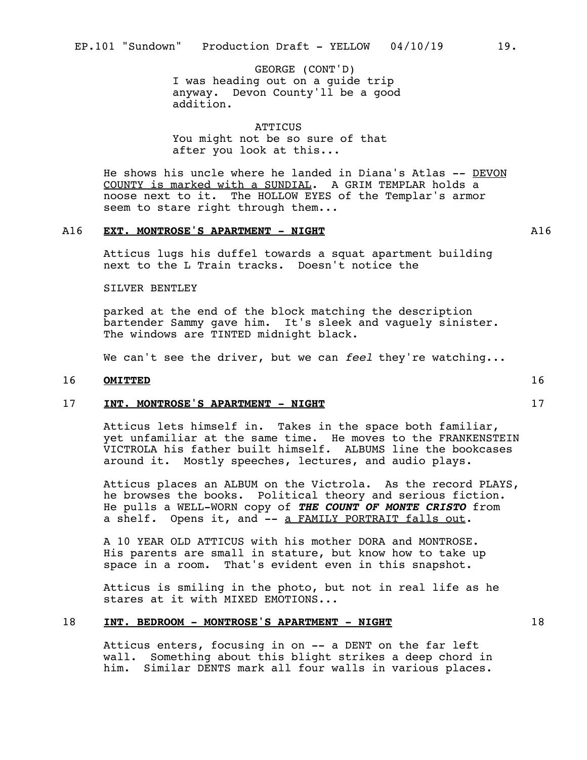GEORGE (CONT'D) I was heading out on a guide trip anyway. Devon County'll be a good addition.

**ATTICUS** You might not be so sure of that after you look at this...

He shows his uncle where he landed in Diana's Atlas -- DEVON COUNTY is marked with a SUNDIAL. A GRIM TEMPLAR holds a noose next to it. The HOLLOW EYES of the Templar's armor seem to stare right through them...

## A16 **EXT. MONTROSE'S APARTMENT - NIGHT** A16

Atticus lugs his duffel towards a squat apartment building next to the L Train tracks. Doesn't notice the

SILVER BENTLEY

parked at the end of the block matching the description bartender Sammy gave him. It's sleek and vaguely sinister. The windows are TINTED midnight black.

We can't see the driver, but we can *feel* they're watching...

## 16 **OMITTED** 16

#### 17 **INT. MONTROSE'S APARTMENT - NIGHT** 17

Atticus lets himself in. Takes in the space both familiar, yet unfamiliar at the same time. He moves to the FRANKENSTEIN VICTROLA his father built himself. ALBUMS line the bookcases around it. Mostly speeches, lectures, and audio plays.

Atticus places an ALBUM on the Victrola. As the record PLAYS, he browses the books. Political theory and serious fiction. He pulls a WELL-WORN copy of *THE COUNT OF MONTE CRISTO* from a shelf*.* Opens it, and -- a FAMILY PORTRAIT falls out.

A 10 YEAR OLD ATTICUS with his mother DORA and MONTROSE. His parents are small in stature, but know how to take up space in a room. That's evident even in this snapshot.

Atticus is smiling in the photo, but not in real life as he stares at it with MIXED EMOTIONS...

## 18 **INT. BEDROOM - MONTROSE'S APARTMENT - NIGHT** 18

Atticus enters, focusing in on -- a DENT on the far left wall. Something about this blight strikes a deep chord in him. Similar DENTS mark all four walls in various places.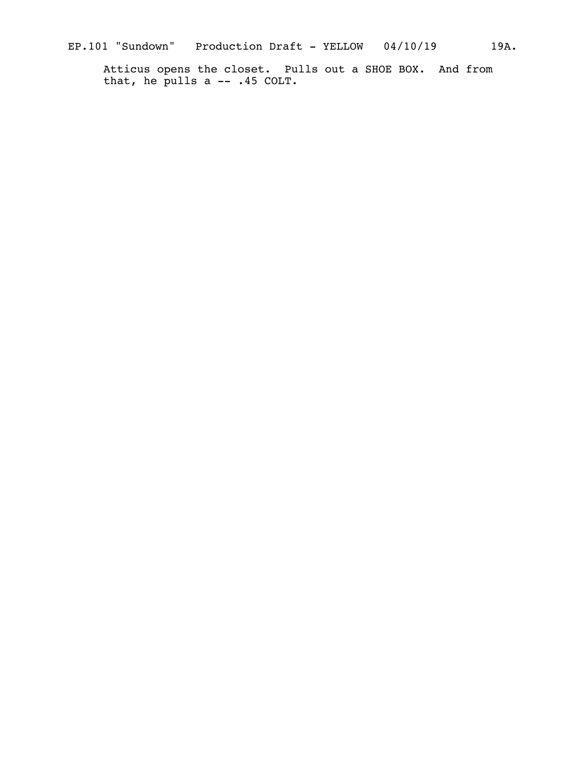Atticus opens the closet. Pulls out a SHOE BOX. And from that, he pulls a -- .45 COLT.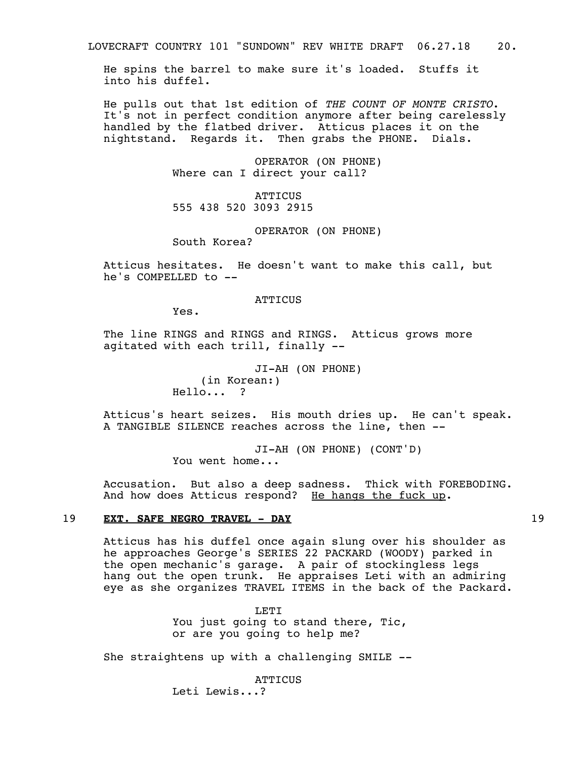He spins the barrel to make sure it's loaded. Stuffs it into his duffel.

He pulls out that 1st edition of *THE COUNT OF MONTE CRISTO*. It's not in perfect condition anymore after being carelessly handled by the flatbed driver. Atticus places it on the nightstand. Regards it. Then grabs the PHONE. Dials.

> OPERATOR (ON PHONE) Where can I direct your call?

**ATTICUS** 555 438 520 3093 2915

OPERATOR (ON PHONE) South Korea?

Atticus hesitates. He doesn't want to make this call, but he's COMPELLED  $to$   $-$ 

**ATTICUS** 

Yes.

The line RINGS and RINGS and RINGS. Atticus grows more agitated with each trill, finally --

> JI-AH (ON PHONE) (in Korean:) Hello... ?

Atticus's heart seizes. His mouth dries up. He can't speak. A TANGIBLE SILENCE reaches across the line, then --

> JI-AH (ON PHONE) (CONT'D) You went home...

Accusation. But also a deep sadness. Thick with FOREBODING. And how does Atticus respond? He hangs the fuck up.

## 19 **EXT. SAFE NEGRO TRAVEL - DAY** 19

Atticus has his duffel once again slung over his shoulder as he approaches George's SERIES 22 PACKARD (WOODY) parked in the open mechanic's garage. A pair of stockingless legs hang out the open trunk. He appraises Leti with an admiring eye as she organizes TRAVEL ITEMS in the back of the Packard.

> LETI You just going to stand there, Tic, or are you going to help me?

She straightens up with a challenging SMILE --

**ATTICUS** Leti Lewis...?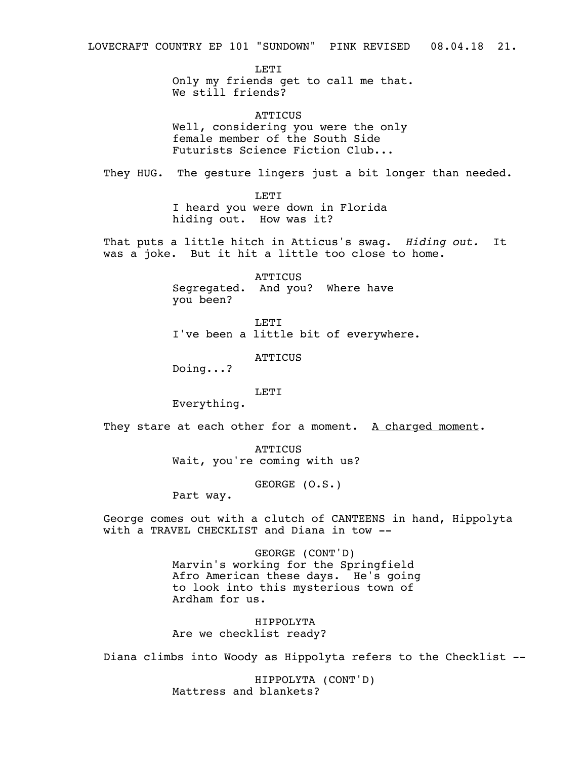**LETI** Only my friends get to call me that. We still friends?

**ATTICUS** Well, considering you were the only female member of the South Side Futurists Science Fiction Club...

They HUG. The gesture lingers just a bit longer than needed.

LETI I heard you were down in Florida hiding out. How was it?

That puts a little hitch in Atticus's swag. *Hiding out.* It was a joke. But it hit a little too close to home.

> **ATTICUS** Segregated. And you? Where have you been?

LETI I've been a little bit of everywhere.

ATTICUS

Doing...?

LETI

Everything.

They stare at each other for a moment. A charged moment.

**ATTICUS** Wait, you're coming with us?

GEORGE (O.S.)

Part way.

George comes out with a clutch of CANTEENS in hand, Hippolyta with a TRAVEL CHECKLIST and Diana in tow --

> GEORGE (CONT'D) Marvin's working for the Springfield Afro American these days. He's going to look into this mysterious town of Ardham for us.

HIPPOLYTA Are we checklist ready?

Diana climbs into Woody as Hippolyta refers to the Checklist --

HIPPOLYTA (CONT'D) Mattress and blankets?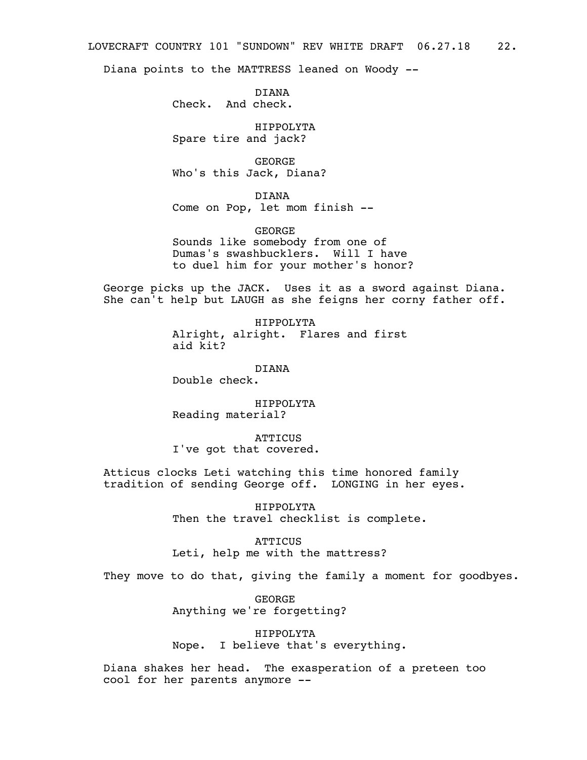Diana points to the MATTRESS leaned on Woody --

DIANA Check. And check.

HIPPOLYTA Spare tire and jack?

GEORGE Who's this Jack, Diana?

DIANA Come on Pop, let mom finish --

GEORGE Sounds like somebody from one of Dumas's swashbucklers. Will I have to duel him for your mother's honor?

George picks up the JACK. Uses it as a sword against Diana. She can't help but LAUGH as she feigns her corny father off.

> HIPPOLYTA Alright, alright. Flares and first aid kit?

> > DIANA

Double check.

HIPPOLYTA Reading material?

**ATTICUS** 

I've got that covered.

Atticus clocks Leti watching this time honored family tradition of sending George off. LONGING in her eyes.

> HIPPOLYTA Then the travel checklist is complete.

**ATTICUS** Leti, help me with the mattress?

They move to do that, giving the family a moment for goodbyes.

GEORGE Anything we're forgetting?

HIPPOLYTA Nope. I believe that's everything.

Diana shakes her head. The exasperation of a preteen too cool for her parents anymore --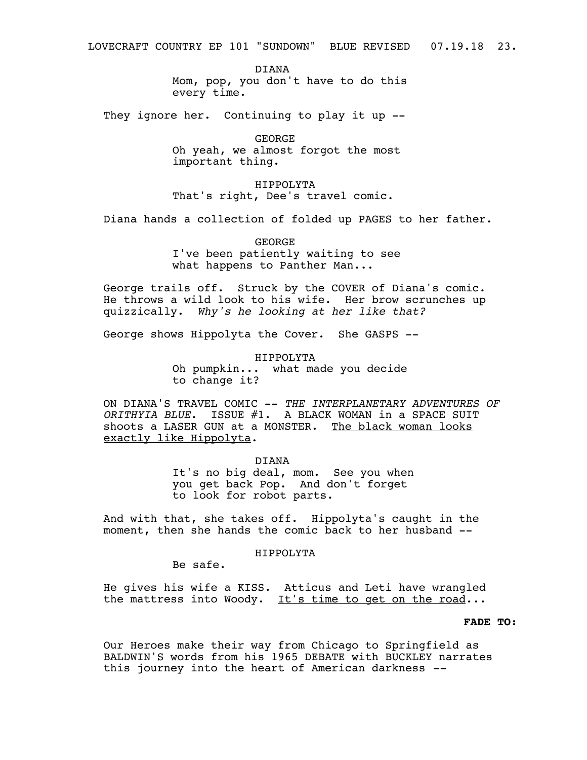DIANA Mom, pop, you don't have to do this every time.

They ignore her. Continuing to play it up --

GEORGE Oh yeah, we almost forgot the most important thing.

HIPPOLYTA That's right, Dee's travel comic.

Diana hands a collection of folded up PAGES to her father.

GEORGE I've been patiently waiting to see what happens to Panther Man...

George trails off. Struck by the COVER of Diana's comic. He throws a wild look to his wife. Her brow scrunches up quizzically. *Why's he looking at her like that?*

George shows Hippolyta the Cover. She GASPS --

HIPPOLYTA Oh pumpkin... what made you decide to change it?

ON DIANA'S TRAVEL COMIC -- *THE INTERPLANETARY ADVENTURES OF ORITHYIA BLUE*. ISSUE #1. A BLACK WOMAN in a SPACE SUIT shoots a LASER GUN at a MONSTER. The black woman looks exactly like Hippolyta.

> DIANA It's no big deal, mom. See you when you get back Pop. And don't forget to look for robot parts.

And with that, she takes off. Hippolyta's caught in the moment, then she hands the comic back to her husband --

HIPPOLYTA

Be safe.

He gives his wife a KISS. Atticus and Leti have wrangled the mattress into Woody. It's time to get on the road...

# **FADE TO:**

Our Heroes make their way from Chicago to Springfield as BALDWIN'S words from his 1965 DEBATE with BUCKLEY narrates this journey into the heart of American darkness *--*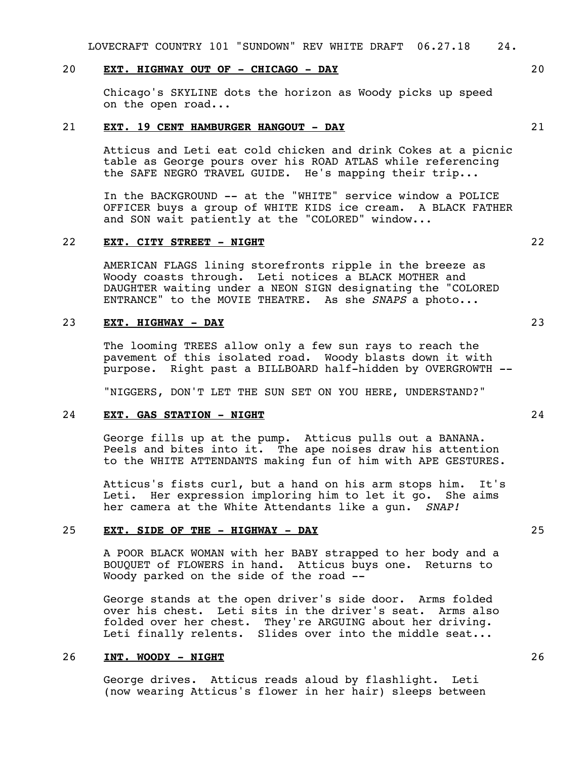LOVECRAFT COUNTRY 101 "SUNDOWN" REV WHITE DRAFT 06.27.18 24.

# 20 **EXT. HIGHWAY OUT OF - CHICAGO - DAY** 20

Chicago's SKYLINE dots the horizon as Woody picks up speed on the open road...

## 21 **EXT. 19 CENT HAMBURGER HANGOUT - DAY** 21

Atticus and Leti eat cold chicken and drink Cokes at a picnic table as George pours over his ROAD ATLAS while referencing the SAFE NEGRO TRAVEL GUIDE. He's mapping their trip...

In the BACKGROUND -- at the "WHITE" service window a POLICE OFFICER buys a group of WHITE KIDS ice cream. A BLACK FATHER and SON wait patiently at the "COLORED" window...

## 22 **EXT. CITY STREET - NIGHT** 22

AMERICAN FLAGS lining storefronts ripple in the breeze as Woody coasts through. Leti notices a BLACK MOTHER and DAUGHTER waiting under a NEON SIGN designating the "COLORED ENTRANCE" to the MOVIE THEATRE. As she *SNAPS* a photo...

# 23 **EXT. HIGHWAY - DAY** 23

The looming TREES allow only a few sun rays to reach the pavement of this isolated road. Woody blasts down it with purpose. Right past a BILLBOARD half-hidden by OVERGROWTH --

"NIGGERS, DON'T LET THE SUN SET ON YOU HERE, UNDERSTAND?"

# 24 **EXT. GAS STATION - NIGHT** 24

George fills up at the pump. Atticus pulls out a BANANA. Peels and bites into it. The ape noises draw his attention to the WHITE ATTENDANTS making fun of him with APE GESTURES.

Atticus's fists curl, but a hand on his arm stops him. It's Leti. Her expression imploring him to let it go. She aims her camera at the White Attendants like a gun. *SNAP!*

## 25 **EXT. SIDE OF THE - HIGHWAY - DAY** 25

A POOR BLACK WOMAN with her BABY strapped to her body and a BOUQUET of FLOWERS in hand. Atticus buys one. Returns to Woody parked on the side of the road --

George stands at the open driver's side door. Arms folded over his chest. Leti sits in the driver's seat. Arms also folded over her chest. They're ARGUING about her driving. Leti finally relents. Slides over into the middle seat...

## 26 **INT. WOODY - NIGHT** 26

George drives. Atticus reads aloud by flashlight. Leti (now wearing Atticus's flower in her hair) sleeps between



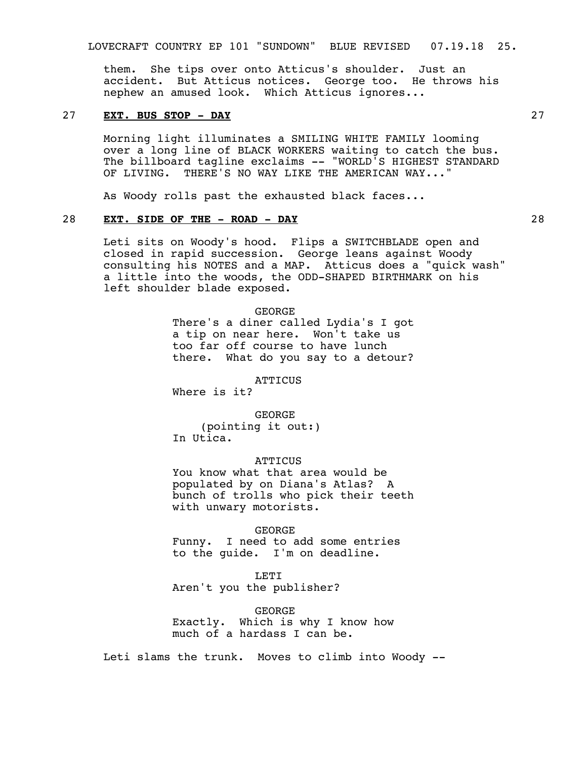LOVECRAFT COUNTRY EP 101 "SUNDOWN" BLUE REVISED 07.19.18 25.

them. She tips over onto Atticus's shoulder. Just an accident. But Atticus notices. George too. He throws his nephew an amused look. Which Atticus ignores...

# 27 **EXT. BUS STOP - DAY** 27

Morning light illuminates a SMILING WHITE FAMILY looming over a long line of BLACK WORKERS waiting to catch the bus. The billboard tagline exclaims -- "WORLD'S HIGHEST STANDARD OF LIVING. THERE'S NO WAY LIKE THE AMERICAN WAY...'

As Woody rolls past the exhausted black faces...

# 28 **EXT. SIDE OF THE - ROAD - DAY** 28

Leti sits on Woody's hood. Flips a SWITCHBLADE open and closed in rapid succession. George leans against Woody consulting his NOTES and a MAP. Atticus does a "quick wash" a little into the woods, the ODD-SHAPED BIRTHMARK on his left shoulder blade exposed.

> GEORGE There's a diner called Lydia's I got a tip on near here. Won't take us too far off course to have lunch there. What do you say to a detour?

> > **ATTICUS**

Where is it?

GEORGE (pointing it out:) In Utica.

**ATTICUS** 

You know what that area would be populated by on Diana's Atlas? A bunch of trolls who pick their teeth with unwary motorists.

GEORGE Funny. I need to add some entries

to the guide. I'm on deadline.

LETI Aren't you the publisher?

GEORGE Exactly. Which is why I know how much of a hardass I can be.

Leti slams the trunk. Moves to climb into Woody --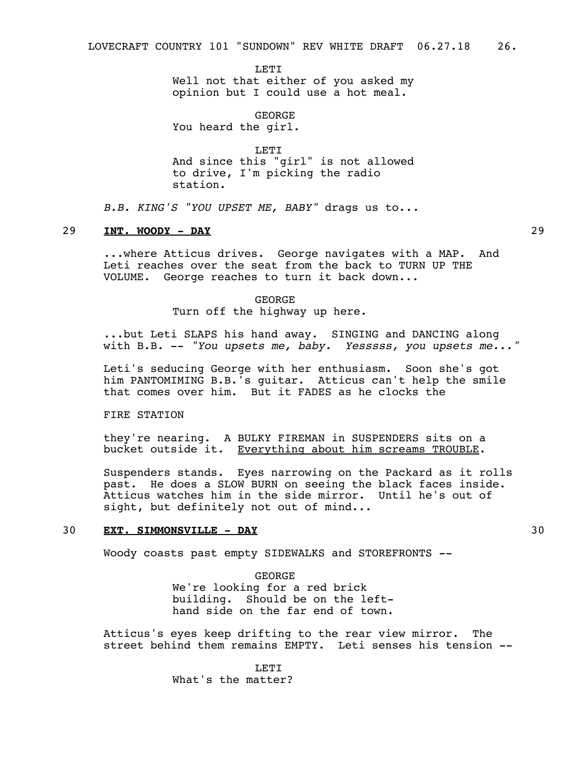**LETT** Well not that either of you asked my opinion but I could use a hot meal.

GEORGE You heard the girl.

LETT<sub>1</sub> And since this "girl" is not allowed to drive, I'm picking the radio station.

*B.B. KING'S "YOU UPSET ME, BABY"* drags us to.*..*

## 29 **INT. WOODY - DAY** 29

...where Atticus drives. George navigates with a MAP. And Leti reaches over the seat from the back to TURN UP THE VOLUME. George reaches to turn it back down...

# GEORGE Turn off the highway up here.

...but Leti SLAPS his hand away. SINGING and DANCING along with B.B. -- *"You upsets me, baby. Yesssss, you upsets me..."*

Leti's seducing George with her enthusiasm. Soon she's got him PANTOMIMING B.B.'s guitar. Atticus can't help the smile that comes over him. But it FADES as he clocks the

# FIRE STATION

they're nearing. A BULKY FIREMAN in SUSPENDERS sits on a bucket outside it. Everything about him screams TROUBLE.

Suspenders stands. Eyes narrowing on the Packard as it rolls past. He does a SLOW BURN on seeing the black faces inside. Atticus watches him in the side mirror. Until he's out of sight, but definitely not out of mind...

## 30 **EXT. SIMMONSVILLE - DAY** 30

Woody coasts past empty SIDEWALKS and STOREFRONTS --

GEORGE We're looking for a red brick building. Should be on the lefthand side on the far end of town.

Atticus's eyes keep drifting to the rear view mirror. The street behind them remains EMPTY. Leti senses his tension --

> LETT<sub>1</sub> What's the matter?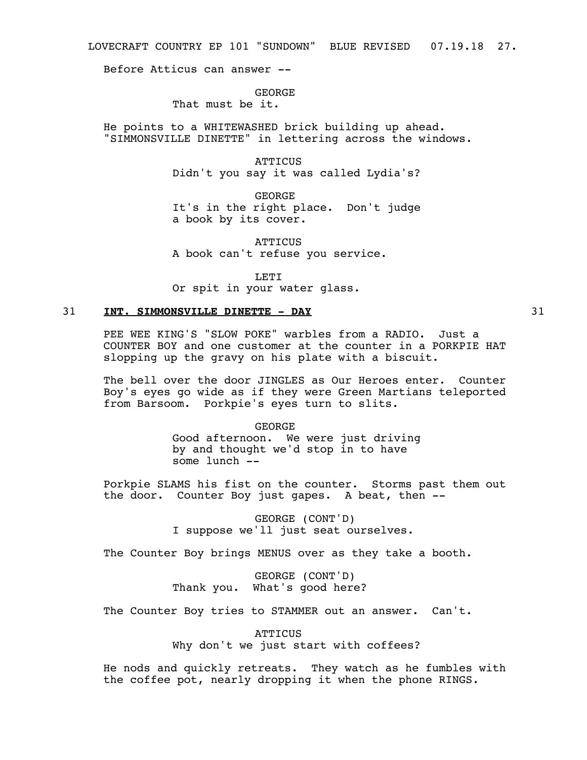LOVECRAFT COUNTRY EP 101 "SUNDOWN" BLUE REVISED 07.19.18 27.

Before Atticus can answer --

## GEORGE

That must be it.

He points to a WHITEWASHED brick building up ahead. "SIMMONSVILLE DINETTE" in lettering across the windows.

> **ATTICUS** Didn't you say it was called Lydia's?

> GEORGE It's in the right place. Don't judge a book by its cover.

**ATTICUS** A book can't refuse you service.

LETT<sub>1</sub>

Or spit in your water glass.

# 31 **INT. SIMMONSVILLE DINETTE - DAY** 31

PEE WEE KING'S "SLOW POKE" warbles from a RADIO. Just a COUNTER BOY and one customer at the counter in a PORKPIE HAT slopping up the gravy on his plate with a biscuit.

The bell over the door JINGLES as Our Heroes enter. Counter Boy's eyes go wide as if they were Green Martians teleported from Barsoom. Porkpie's eyes turn to slits.

> GEORGE Good afternoon. We were just driving by and thought we'd stop in to have some lunch --

Porkpie SLAMS his fist on the counter. Storms past them out the door. Counter Boy just gapes. A beat, then --

> GEORGE (CONT'D) I suppose we'll just seat ourselves.

The Counter Boy brings MENUS over as they take a booth.

GEORGE (CONT'D) Thank you. What's good here?

The Counter Boy tries to STAMMER out an answer. Can't.

**ATTICUS** 

Why don't we just start with coffees?

He nods and quickly retreats. They watch as he fumbles with the coffee pot, nearly dropping it when the phone RINGS.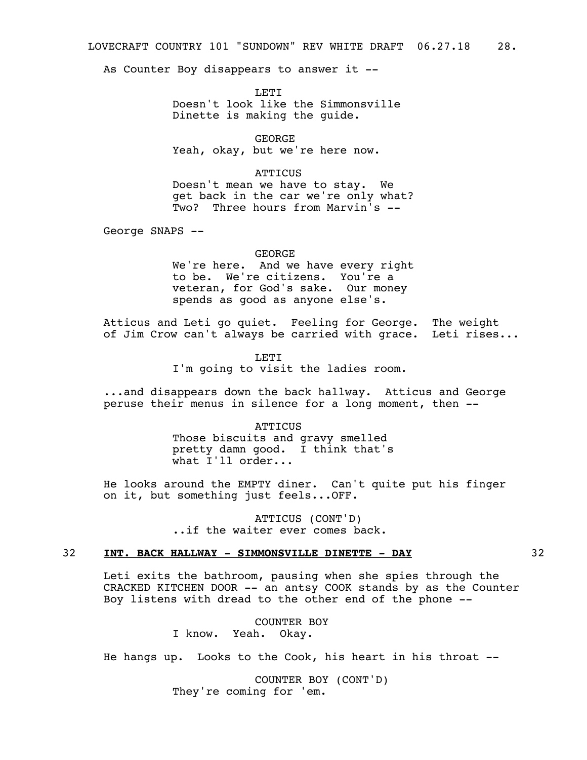As Counter Boy disappears to answer it --

LETT. Doesn't look like the Simmonsville Dinette is making the guide.

GEORGE Yeah, okay, but we're here now.

# **ATTICUS**

Doesn't mean we have to stay. We get back in the car we're only what? Two? Three hours from Marvin's --

George SNAPS --

GEORGE

We're here. And we have every right to be. We're citizens. You're a veteran, for God's sake. Our money spends as good as anyone else's.

Atticus and Leti go quiet. Feeling for George. The weight of Jim Crow can't always be carried with grace. Leti rises...

> LETI I'm going to visit the ladies room.

...and disappears down the back hallway. Atticus and George peruse their menus in silence for a long moment, then --

### **ATTICUS**

Those biscuits and gravy smelled pretty damn good. I think that's what  $I'$ ll order...

He looks around the EMPTY diner. Can't quite put his finger on it, but something just feels...OFF.

> ATTICUS (CONT'D) ..if the waiter ever comes back.

## 32 **INT. BACK HALLWAY - SIMMONSVILLE DINETTE - DAY** 32

Leti exits the bathroom, pausing when she spies through the CRACKED KITCHEN DOOR -- an antsy COOK stands by as the Counter Boy listens with dread to the other end of the phone --

> COUNTER BOY I know. Yeah. Okay.

He hangs up. Looks to the Cook, his heart in his throat --

COUNTER BOY (CONT'D) They're coming for 'em.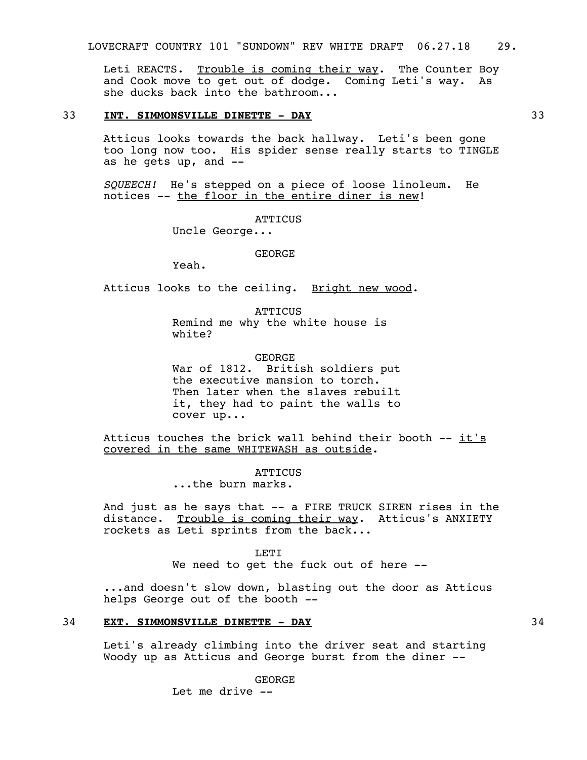Leti REACTS. Trouble is coming their way. The Counter Boy and Cook move to get out of dodge. Coming Leti's way. As she ducks back into the bathroom...

## 33 **INT. SIMMONSVILLE DINETTE - DAY** 33

Atticus looks towards the back hallway. Leti's been gone too long now too. His spider sense really starts to TINGLE as he gets up, and --

*SQUEECH!* He's stepped on a piece of loose linoleum. He notices -- the floor in the entire diner is new!

**ATTICUS** 

Uncle George...

GEORGE

Yeah.

Atticus looks to the ceiling. Bright new wood.

**ATTICUS** Remind me why the white house is white?

GEORGE War of 1812. British soldiers put the executive mansion to torch. Then later when the slaves rebuilt it, they had to paint the walls to cover up...

Atticus touches the brick wall behind their booth -- it's covered in the same WHITEWASH as outside.

**ATTICUS** 

...the burn marks.

And just as he says that -- a FIRE TRUCK SIREN rises in the distance. Trouble is coming their way. Atticus's ANXIETY rockets as Leti sprints from the back...

**LETT** 

We need to get the fuck out of here --

...and doesn't slow down, blasting out the door as Atticus helps George out of the booth --

## 34 **EXT. SIMMONSVILLE DINETTE - DAY** 34

Leti's already climbing into the driver seat and starting Woody up as Atticus and George burst from the diner --

> GEORGE Let me drive --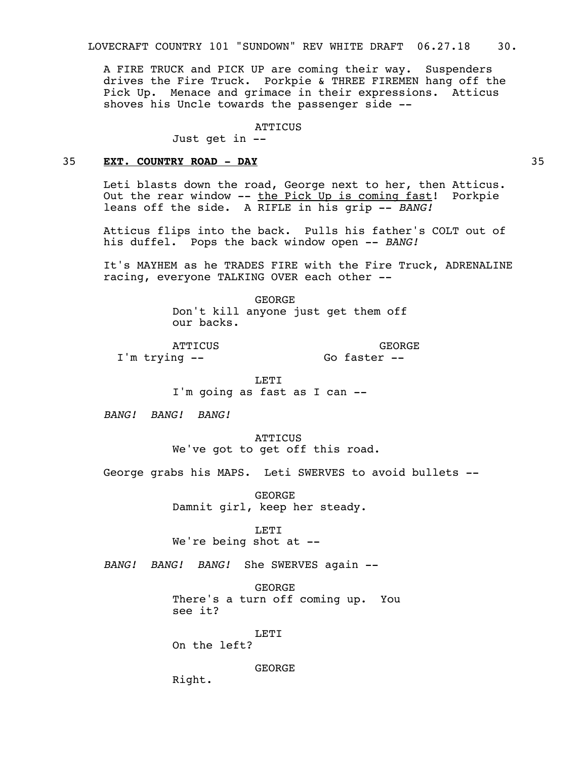A FIRE TRUCK and PICK UP are coming their way. Suspenders drives the Fire Truck. Porkpie & THREE FIREMEN hang off the Pick Up. Menace and grimace in their expressions. Atticus shoves his Uncle towards the passenger side --

## **ATTICUS**

Just get in --

# 35 **EXT. COUNTRY ROAD - DAY** 35

Leti blasts down the road, George next to her, then Atticus. Out the rear window -- the Pick Up is coming fast! Porkpie leans off the side. A RIFLE in his grip -- *BANG!*

Atticus flips into the back. Pulls his father's COLT out of his duffel. Pops the back window open -- *BANG!* 

It's MAYHEM as he TRADES FIRE with the Fire Truck, ADRENALINE racing, everyone TALKING OVER each other --

> GEORGE Don't kill anyone just get them off our backs.

ATTICUS I'm trying --

GEORGE Go faster --

LETI

I'm going as fast as I can --

*BANG! BANG! BANG!* 

**ATTICUS** We've got to get off this road.

George grabs his MAPS. Leti SWERVES to avoid bullets --

GEORGE Damnit girl, keep her steady.

**LETT** 

We're being shot at --

*BANG! BANG! BANG!* She SWERVES again --

GEORGE There's a turn off coming up. You see it?

LETI

On the left?

GEORGE

Right.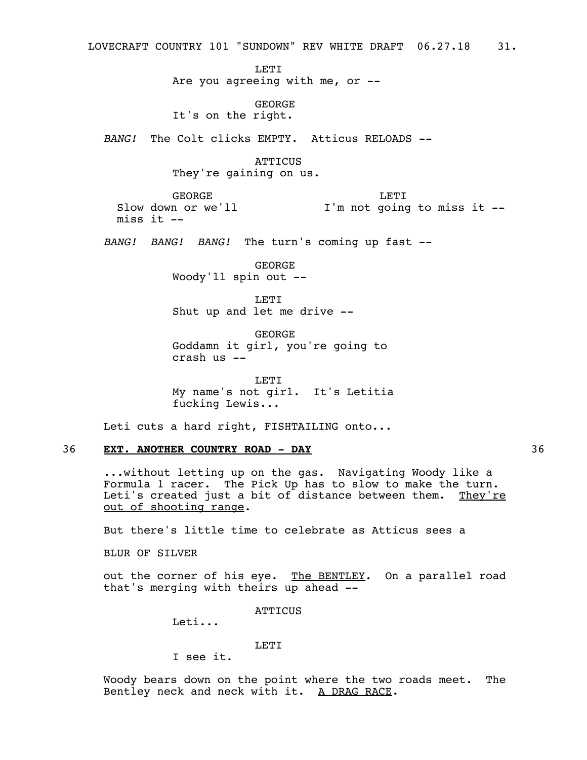LOVECRAFT COUNTRY 101 "SUNDOWN" REV WHITE DRAFT 06.27.18 31. **LETI** Are you agreeing with me, or -- GEORGE It's on the right. *BANG!* The Colt clicks EMPTY. Atticus RELOADS -- **ATTICUS** They're gaining on us. GEORGE Slow down or we'll I'm not going to miss it - miss it  $--$ LETI *BANG! BANG! BANG!* The turn's coming up fast -- GEORGE Woody'll spin out -- LETI Shut up and let me drive -- GEORGE Goddamn it girl, you're going to crash us -- LETI My name's not girl. It's Letitia fucking Lewis... Leti cuts a hard right, FISHTAILING onto... 36 **EXT. ANOTHER COUNTRY ROAD - DAY** 36

...without letting up on the gas. Navigating Woody like a Formula 1 racer. The Pick Up has to slow to make the turn. Leti's created just a bit of distance between them. They're out of shooting range.

But there's little time to celebrate as Atticus sees a

BLUR OF SILVER

out the corner of his eye. The BENTLEY. On a parallel road that's merging with theirs up ahead --

ATTICUS

Leti...

LETI

I see it.

Woody bears down on the point where the two roads meet. The Bentley neck and neck with it. A DRAG RACE.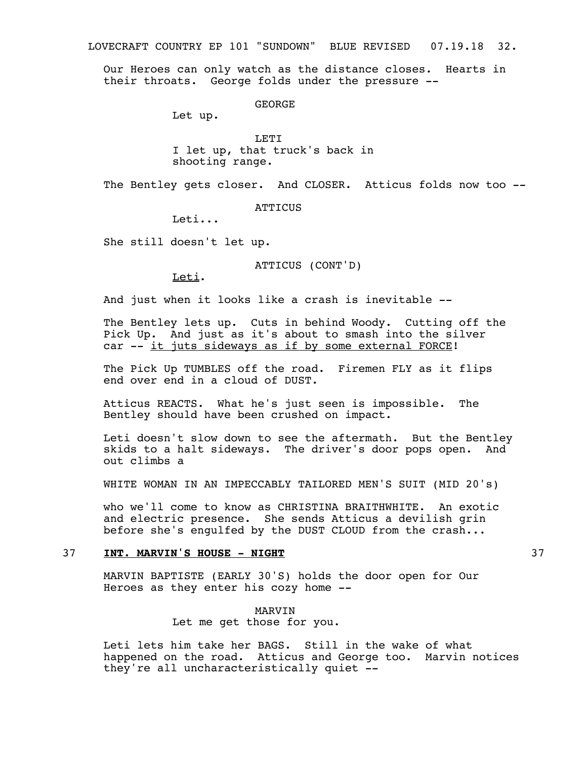LOVECRAFT COUNTRY EP 101 "SUNDOWN" BLUE REVISED 07.19.18 32.

Our Heroes can only watch as the distance closes. Hearts in their throats. George folds under the pressure --

GEORGE

Let up.

LETI I let up, that truck's back in shooting range.

The Bentley gets closer. And CLOSER. Atticus folds now too --

**ATTICUS** 

Leti...

She still doesn't let up.

ATTICUS (CONT'D)

Leti.

And just when it looks like a crash is inevitable --

The Bentley lets up. Cuts in behind Woody. Cutting off the Pick Up. And just as it's about to smash into the silver car -- it juts sideways as if by some external FORCE!

The Pick Up TUMBLES off the road. Firemen FLY as it flips end over end in a cloud of DUST.

Atticus REACTS. What he's just seen is impossible. The Bentley should have been crushed on impact.

Leti doesn't slow down to see the aftermath. But the Bentley skids to a halt sideways. The driver's door pops open. And out climbs a

WHITE WOMAN IN AN IMPECCABLY TAILORED MEN'S SUIT (MID 20's)

who we'll come to know as CHRISTINA BRAITHWHITE. An exotic and electric presence. She sends Atticus a devilish grin before she's engulfed by the DUST CLOUD from the crash...

## 37 **INT. MARVIN'S HOUSE - NIGHT** 37

MARVIN BAPTISTE (EARLY 30'S) holds the door open for Our Heroes as they enter his cozy home --

> MARVIN Let me get those for you.

Leti lets him take her BAGS. Still in the wake of what happened on the road. Atticus and George too. Marvin notices they're all uncharacteristically quiet --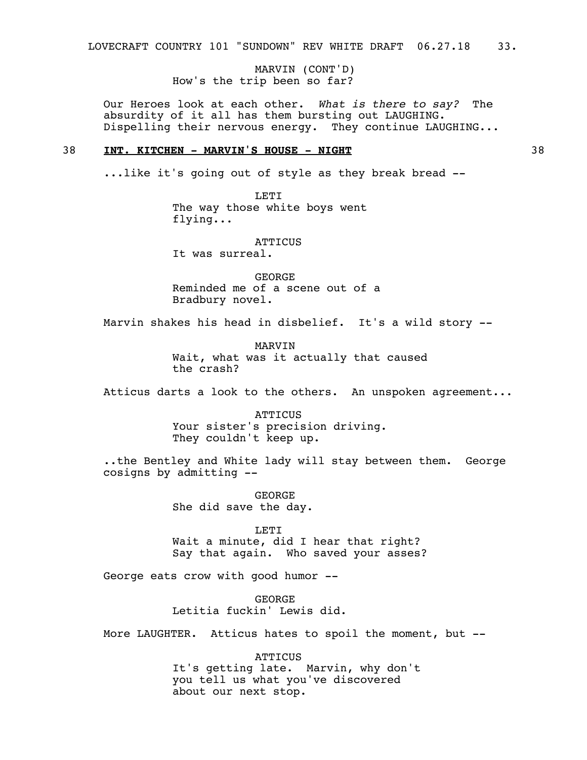MARVIN (CONT'D) How's the trip been so far?

Our Heroes look at each other. *What is there to say?* The absurdity of it all has them bursting out LAUGHING. Dispelling their nervous energy. They continue LAUGHING...

## 38 **INT. KITCHEN - MARVIN'S HOUSE - NIGHT** 38

...like it's going out of style as they break bread --

LETI The way those white boys went flying...

**ATTICUS** 

It was surreal.

GEORGE Reminded me of a scene out of a Bradbury novel.

Marvin shakes his head in disbelief. It's a wild story --

MARVIN Wait, what was it actually that caused the crash?

Atticus darts a look to the others. An unspoken agreement...

**ATTICUS** Your sister's precision driving. They couldn't keep up.

..the Bentley and White lady will stay between them. George cosigns by admitting --

> GEORGE She did save the day.

LETT<sub>1</sub> Wait a minute, did I hear that right? Say that again. Who saved your asses?

George eats crow with good humor --

GEORGE Letitia fuckin' Lewis did.

More LAUGHTER. Atticus hates to spoil the moment, but --

ATTICUS It's getting late. Marvin, why don't you tell us what you've discovered about our next stop.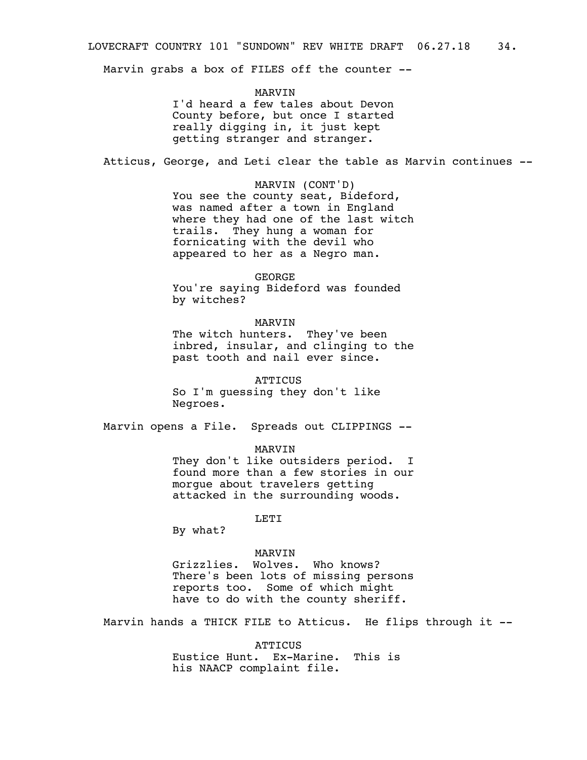Marvin grabs a box of FILES off the counter --

MARVIN I'd heard a few tales about Devon County before, but once I started really digging in, it just kept getting stranger and stranger.

Atticus, George, and Leti clear the table as Marvin continues --

MARVIN (CONT'D) You see the county seat, Bideford, was named after a town in England where they had one of the last witch trails. They hung a woman for fornicating with the devil who appeared to her as a Negro man.

## GEORGE

You're saying Bideford was founded by witches?

## MARVIN

The witch hunters. They've been inbred, insular, and clinging to the past tooth and nail ever since.

**ATTICUS** So I'm guessing they don't like Negroes.

Marvin opens a File. Spreads out CLIPPINGS --

MARVIN

They don't like outsiders period. I found more than a few stories in our morgue about travelers getting attacked in the surrounding woods.

LETI

By what?

# MARVIN

Grizzlies. Wolves. Who knows? There's been lots of missing persons reports too. Some of which might have to do with the county sheriff.

Marvin hands a THICK FILE to Atticus. He flips through it --

**ATTICUS** Eustice Hunt. Ex-Marine. This is his NAACP complaint file.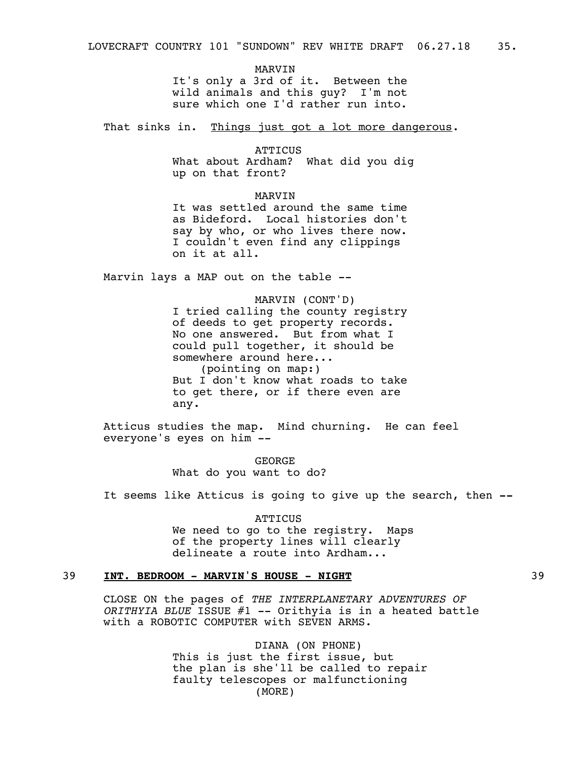MARVIN It's only a 3rd of it. Between the wild animals and this guy? I'm not sure which one I'd rather run into.

That sinks in. Things just got a lot more dangerous.

**ATTICUS** 

What about Ardham? What did you dig up on that front?

MARVIN It was settled around the same time as Bideford. Local histories don't say by who, or who lives there now. I couldn't even find any clippings on it at all.

Marvin lays a MAP out on the table --

MARVIN (CONT'D) I tried calling the county registry of deeds to get property records. No one answered. But from what I could pull together, it should be somewhere around here... (pointing on map:) But I don't know what roads to take to get there, or if there even are any.

Atticus studies the map. Mind churning. He can feel everyone's eyes on him --

> GEORGE What do you want to do?

It seems like Atticus is going to give up the search, then **--** 

**ATTICUS** We need to go to the registry. Maps of the property lines will clearly delineate a route into Ardham...

# 39 **INT. BEDROOM - MARVIN'S HOUSE - NIGHT** 39

CLOSE ON the pages of *THE INTERPLANETARY ADVENTURES OF ORITHYIA BLUE* ISSUE #1 -- Orithyia is in a heated battle with a ROBOTIC COMPUTER with SEVEN ARMS.

> DIANA (ON PHONE) This is just the first issue, but the plan is she'll be called to repair faulty telescopes or malfunctioning (MORE)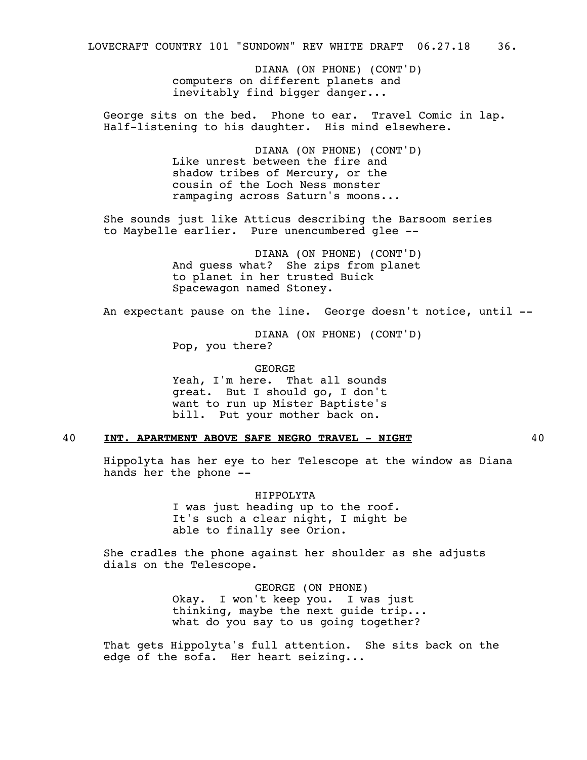DIANA (ON PHONE) (CONT'D) computers on different planets and inevitably find bigger danger...

George sits on the bed. Phone to ear. Travel Comic in lap. Half-listening to his daughter. His mind elsewhere.

> DIANA (ON PHONE) (CONT'D) Like unrest between the fire and shadow tribes of Mercury, or the cousin of the Loch Ness monster rampaging across Saturn's moons...

She sounds just like Atticus describing the Barsoom series to Maybelle earlier. Pure unencumbered glee --

> DIANA (ON PHONE) (CONT'D) And guess what? She zips from planet to planet in her trusted Buick Spacewagon named Stoney.

An expectant pause on the line. George doesn't notice, until --

DIANA (ON PHONE) (CONT'D) Pop, you there?

GEORGE Yeah, I'm here. That all sounds great. But I should go, I don't want to run up Mister Baptiste's bill. Put your mother back on.

# 40 **INT. APARTMENT ABOVE SAFE NEGRO TRAVEL - NIGHT** 40

Hippolyta has her eye to her Telescope at the window as Diana hands her the phone --

> HIPPOLYTA I was just heading up to the roof. It's such a clear night, I might be able to finally see Orion.

She cradles the phone against her shoulder as she adjusts dials on the Telescope.

> GEORGE (ON PHONE) Okay. I won't keep you. I was just thinking, maybe the next guide trip... what do you say to us going together?

That gets Hippolyta's full attention. She sits back on the edge of the sofa. Her heart seizing...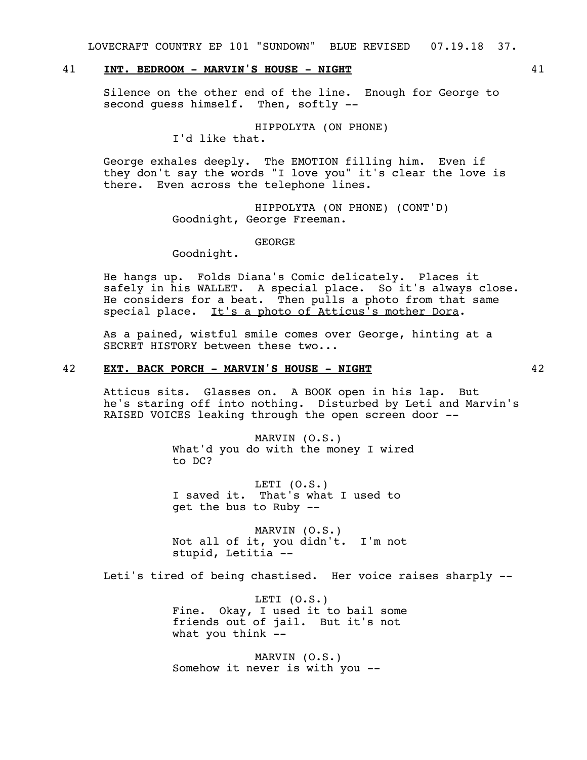LOVECRAFT COUNTRY EP 101 "SUNDOWN" BLUE REVISED 07.19.18 37.

# 41 **INT. BEDROOM - MARVIN'S HOUSE - NIGHT** 41

Silence on the other end of the line. Enough for George to second guess himself. Then, softly --

HIPPOLYTA (ON PHONE)

I'd like that.

George exhales deeply. The EMOTION filling him. Even if they don't say the words "I love you" it's clear the love is there. Even across the telephone lines.

> HIPPOLYTA (ON PHONE) (CONT'D) Goodnight, George Freeman.

> > GEORGE

Goodnight.

He hangs up. Folds Diana's Comic delicately. Places it safely in his WALLET. A special place. So it's always close. He considers for a beat. Then pulls a photo from that same special place. It's a photo of Atticus's mother Dora.

As a pained, wistful smile comes over George, hinting at a SECRET HISTORY between these two...

## 42 **EXT. BACK PORCH - MARVIN'S HOUSE - NIGHT** 42

Atticus sits. Glasses on. A BOOK open in his lap. But he's staring off into nothing. Disturbed by Leti and Marvin's RAISED VOICES leaking through the open screen door --

> MARVIN (O.S.) What'd you do with the money I wired to DC?

LETI (O.S.) I saved it. That's what I used to get the bus to Ruby --

MARVIN (O.S.) Not all of it, you didn't. I'm not stupid, Letitia --

Leti's tired of being chastised. Her voice raises sharply --

LETI  $(0. S.)$ Fine. Okay, I used it to bail some friends out of jail. But it's not what you think --

MARVIN (O.S.) Somehow it never is with you --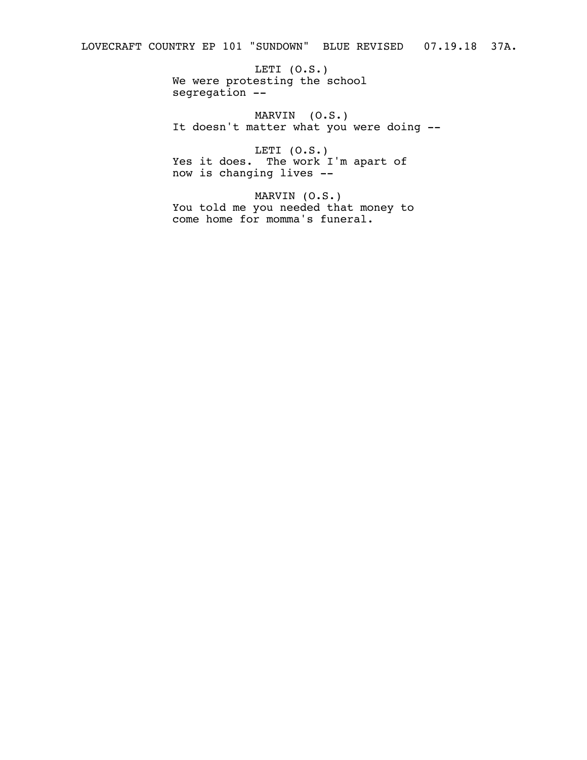LETI (O.S.) We were protesting the school segregation --

MARVIN (O.S.) It doesn't matter what you were doing --

LETI (O.S.) Yes it does. The work I'm apart of now is changing lives --

MARVIN (O.S.) You told me you needed that money to come home for momma's funeral.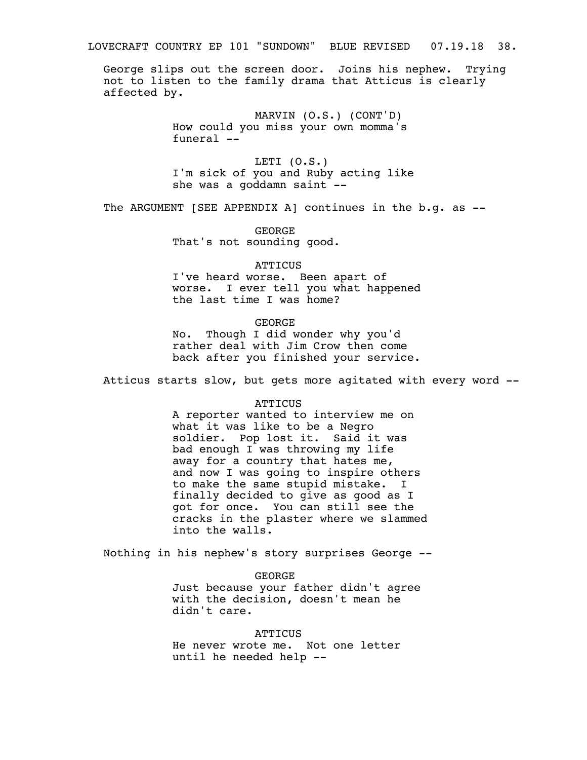LOVECRAFT COUNTRY EP 101 "SUNDOWN" BLUE REVISED 07.19.18 38.

George slips out the screen door. Joins his nephew. Trying not to listen to the family drama that Atticus is clearly affected by.

> MARVIN (O.S.) (CONT'D) How could you miss your own momma's funeral --

LETI (O.S.) I'm sick of you and Ruby acting like she was a goddamn saint --

The ARGUMENT [SEE APPENDIX A] continues in the b.g. as --

GEORGE That's not sounding good.

### ATTICUS

I've heard worse. Been apart of worse. I ever tell you what happened the last time I was home?

## GEORGE

No. Though I did wonder why you'd rather deal with Jim Crow then come back after you finished your service.

Atticus starts slow, but gets more agitated with every word --

## ATTICUS

A reporter wanted to interview me on what it was like to be a Negro soldier. Pop lost it. Said it was bad enough  $I$  was throwing my life away for a country that hates me, and now I was going to inspire others to make the same stupid mistake. I finally decided to give as good as I got for once. You can still see the cracks in the plaster where we slammed into the walls.

Nothing in his nephew's story surprises George --

GEORGE Just because your father didn't agree with the decision, doesn't mean he didn't care.

**ATTICUS** He never wrote me. Not one letter until he needed help --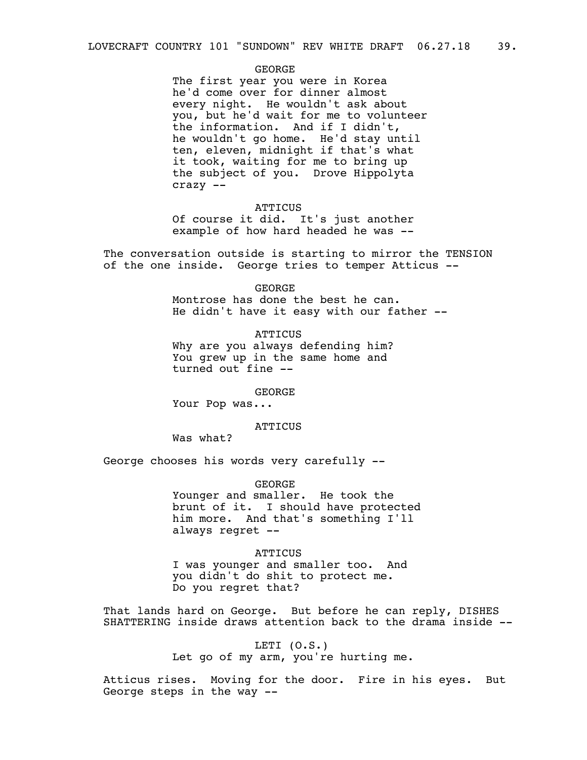## GEORGE

The first year you were in Korea he'd come over for dinner almost every night. He wouldn't ask about you, but he'd wait for me to volunteer the information. And if I didn't, he wouldn't go home. He'd stay until ten, eleven, midnight if that's what it took, waiting for me to bring up the subject of you. Drove Hippolyta crazy --

#### **ATTICUS**

Of course it did. It's just another example of how hard headed he was --

The conversation outside is starting to mirror the TENSION of the one inside. George tries to temper Atticus --

# GEORGE

Montrose has done the best he can. He didn't have it easy with our father --

# **ATTICUS** Why are you always defending him? You grew up in the same home and

GEORGE

Your Pop was...

turned out fine --

# **ATTICUS**

Was what?

George chooses his words very carefully --

GEORGE Younger and smaller. He took the brunt of it. I should have protected him more. And that's something I'll always regret --

## **ATTICUS**

I was younger and smaller too. And you didn't do shit to protect me. Do you regret that?

That lands hard on George. But before he can reply, DISHES SHATTERING inside draws attention back to the drama inside --

> LETI (O.S.) Let go of my arm, you're hurting me.

Atticus rises. Moving for the door. Fire in his eyes. But George steps in the way --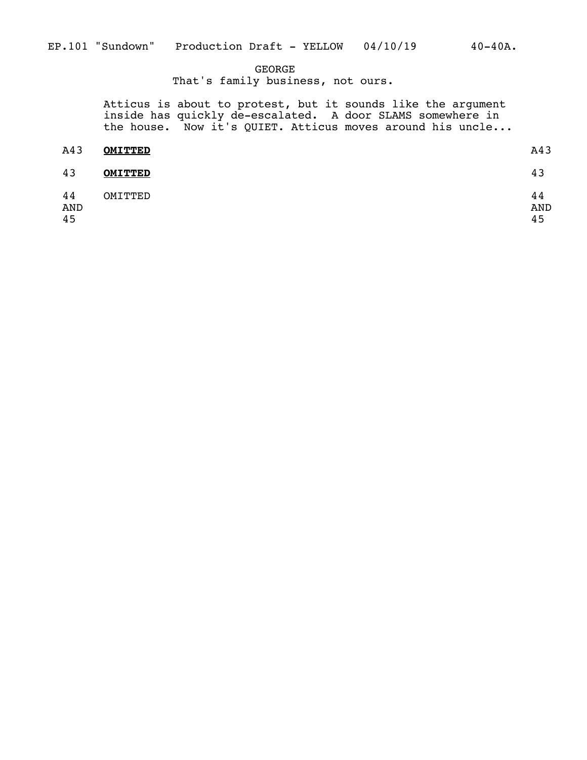# GEORGE

That's family business, not ours.

Atticus is about to protest, but it sounds like the argument inside has quickly de-escalated. A door SLAMS somewhere in the house. Now it's QUIET. Atticus moves around his uncle...

| A43                    | <b>OMITTED</b> | A43             |
|------------------------|----------------|-----------------|
| 43                     | <b>OMITTED</b> | 43              |
| 44<br><b>AND</b><br>45 | OMITTED        | 44<br>AND<br>45 |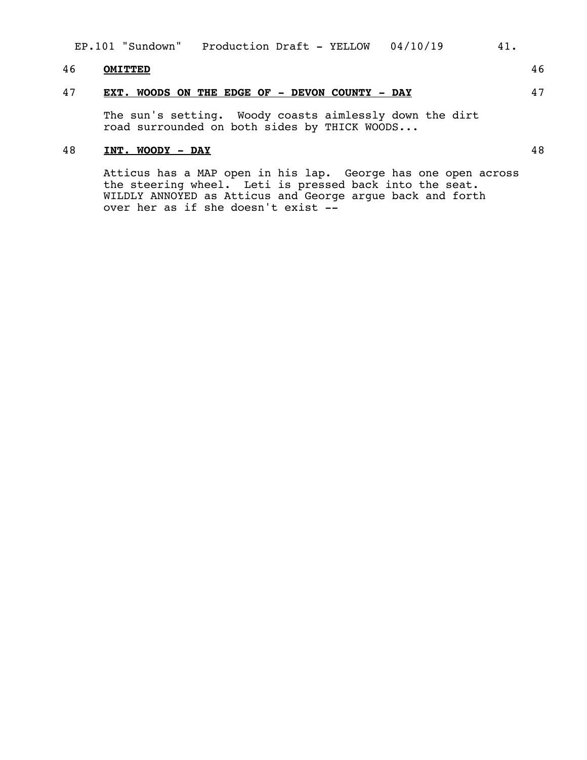| Production Draft - YELLOW 04/10/19<br>EP.101 "Sundown"<br>41. |
|---------------------------------------------------------------|
|---------------------------------------------------------------|

# 46 **OMITTED** 46

# 47 **EXT. WOODS ON THE EDGE OF - DEVON COUNTY - DAY** 47

The sun's setting. Woody coasts aimlessly down the dirt road surrounded on both sides by THICK WOODS...

# 48 **INT. WOODY - DAY** 48

Atticus has a MAP open in his lap. George has one open across the steering wheel. Leti is pressed back into the seat. WILDLY ANNOYED as Atticus and George argue back and forth over her as if she doesn't exist --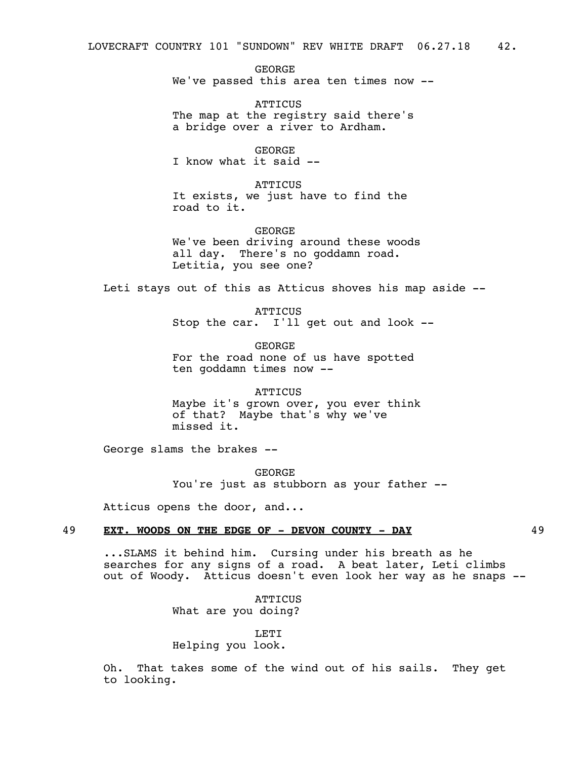GEORGE We've passed this area ten times now --

**ATTICUS** The map at the registry said there's a bridge over a river to Ardham.

GEORGE I know what it said --

**ATTICUS** It exists, we just have to find the road to it.

**GEORGF** We've been driving around these woods all day. There's no goddamn road. Letitia, you see one?

Leti stays out of this as Atticus shoves his map aside --

**ATTICUS** Stop the car. I'll get out and look --

GEORGE For the road none of us have spotted ten goddamn times now --

**ATTICUS** Maybe it's grown over, you ever think of that? Maybe that's why we've missed it.

George slams the brakes --

GEORGE You're just as stubborn as your father --

Atticus opens the door, and...

## 49 **EXT. WOODS ON THE EDGE OF - DEVON COUNTY - DAY** 49

...SLAMS it behind him. Cursing under his breath as he searches for any signs of a road. A beat later, Leti climbs out of Woody. Atticus doesn't even look her way as he snaps --

> **ATTICUS** What are you doing?

LETI Helping you look.

Oh. That takes some of the wind out of his sails. They get to looking.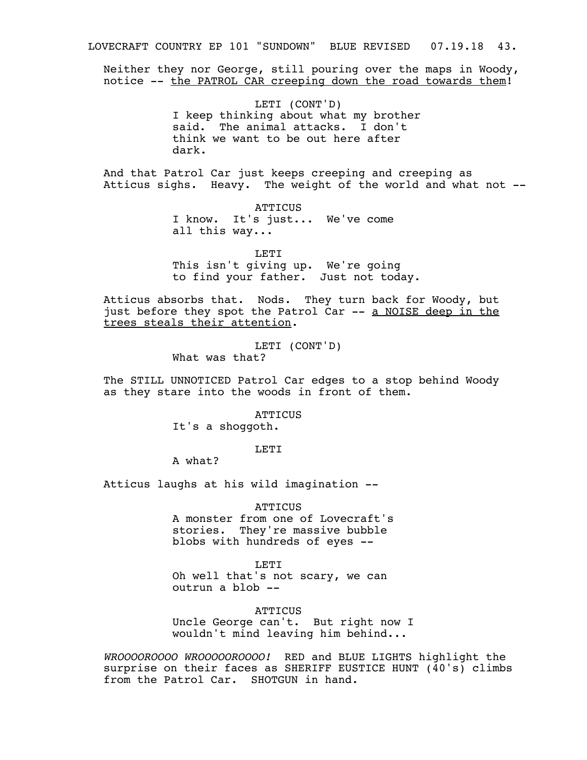LOVECRAFT COUNTRY EP 101 "SUNDOWN" BLUE REVISED 07.19.18 43.

Neither they nor George, still pouring over the maps in Woody, notice -- the PATROL CAR creeping down the road towards them!

> LETI (CONT'D) I keep thinking about what my brother said. The animal attacks. I don't think we want to be out here after dark.

And that Patrol Car just keeps creeping and creeping as Atticus sighs. Heavy. The weight of the world and what not --

> **ATTICUS** I know. It's just... We've come all this way...

> > LETI

This isn't giving up. We're going to find your father. Just not today.

Atticus absorbs that. Nods. They turn back for Woody, but just before they spot the Patrol Car -- a NOISE deep in the trees steals their attention.

> LETI (CONT'D) What was that?

The STILL UNNOTICED Patrol Car edges to a stop behind Woody as they stare into the woods in front of them.

**ATTICUS** 

It's a shoggoth.

**LETT** 

A what?

Atticus laughs at his wild imagination --

**ATTICUS** 

A monster from one of Lovecraft's stories. They're massive bubble blobs with hundreds of eyes --

LETI

Oh well that's not scary, we can outrun a blob --

**ATTICUS** 

Uncle George can't. But right now I wouldn't mind leaving him behind...

*WROOOOROOOO WROOOOOROOOO!* RED and BLUE LIGHTS highlight the surprise on their faces as SHERIFF EUSTICE HUNT (40's) climbs from the Patrol Car. SHOTGUN in hand.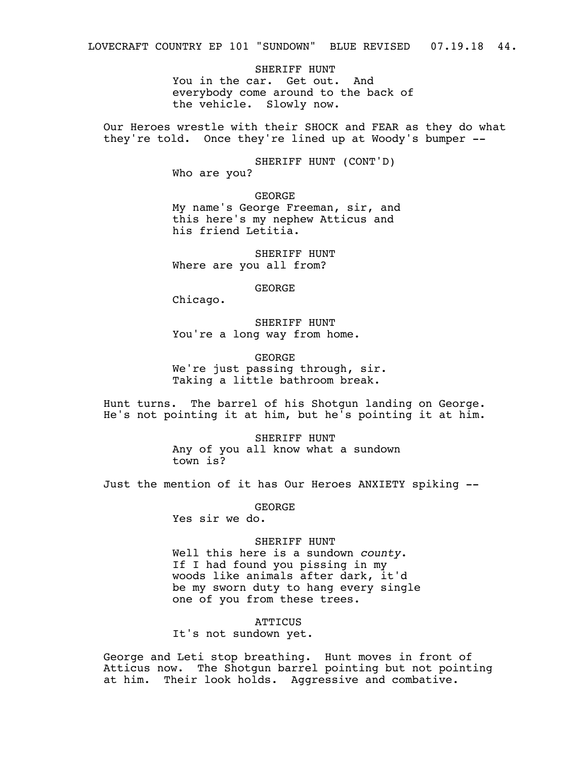SHERIFF HUNT You in the car. Get out. And everybody come around to the back of the vehicle. Slowly now.

Our Heroes wrestle with their SHOCK and FEAR as they do what they're told. Once they're lined up at Woody's bumper --

> SHERIFF HUNT (CONT'D) Who are you?

GEORGE My name's George Freeman, sir, and this here's my nephew Atticus and his friend Letitia.

SHERIFF HUNT Where are you all from?

GEORGE

Chicago.

SHERIFF HUNT You're a long way from home.

GEORGE We're just passing through, sir. Taking a little bathroom break.

Hunt turns. The barrel of his Shotgun landing on George. He's not pointing it at him, but he's pointing it at him.

> SHERIFF HUNT Any of you all know what a sundown town is?

Just the mention of it has Our Heroes ANXIETY spiking --

GEORGE

Yes sir we do.

SHERIFF HUNT<br>Well this here is a sundown *county*. If I had found you pissing in my woods like animals after dark, it'd be my sworn duty to hang every single one of you from these trees.

**ATTICUS** 

It's not sundown yet.

George and Leti stop breathing. Hunt moves in front of Atticus now. The Shotgun barrel pointing but not pointing at him. Their look holds. Aggressive and combative.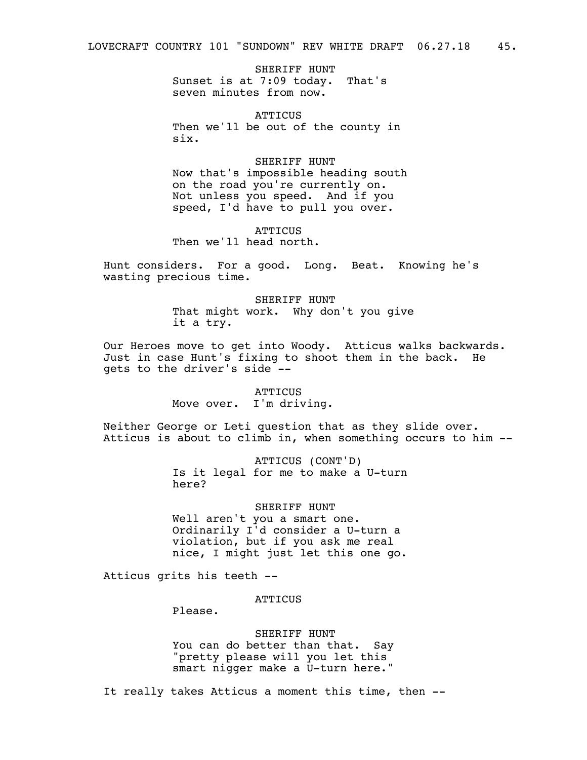SHERIFF HUNT Sunset is at 7:09 today. That's seven minutes from now.

**ATTICUS** Then we'll be out of the county in six.

SHERIFF HUNT Now that's impossible heading south on the road you're currently on. Not unless you speed. And if you speed, I'd have to pull you over.

ATTICUS Then we'll head north.

Hunt considers. For a good. Long. Beat. Knowing he's wasting precious time.

> SHERIFF HUNT That might work. Why don't you give it a try.

Our Heroes move to get into Woody. Atticus walks backwards. Just in case Hunt's fixing to shoot them in the back. He gets to the driver's side --

> ATTICUS Move over. I'm driving.

Neither George or Leti question that as they slide over. Atticus is about to climb in, when something occurs to him --

> ATTICUS (CONT'D) Is it legal for me to make a U-turn here?

# SHERIFF HUNT

Well aren't you a smart one. Ordinarily I'd consider a U-turn a violation, but if you ask me real nice, I might just let this one go.

Atticus grits his teeth --

# **ATTICUS**

Please.

SHERIFF HUNT You can do better than that. Say "pretty please will you let this smart nigger make a U-turn here."

It really takes Atticus a moment this time, then --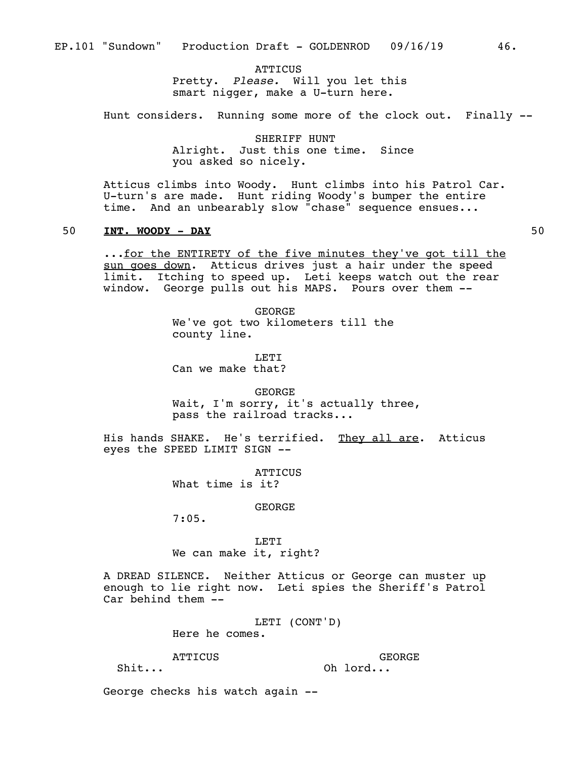**ATTICUS** Pretty. *Please.* Will you let this smart nigger, make a U-turn here.

Hunt considers. Running some more of the clock out. Finally --

SHERIFF HUNT Alright. Just this one time. Since you asked so nicely.

Atticus climbs into Woody. Hunt climbs into his Patrol Car. U-turn's are made. Hunt riding Woody's bumper the entire time. And an unbearably slow "chase" sequence ensues...

## 50 **INT. WOODY - DAY** 50

...for the ENTIRETY of the five minutes they've got till the sun goes down. Atticus drives just a hair under the speed limit. Itching to speed up. Leti keeps watch out the rear window. George pulls out his MAPS. Pours over them --

> GEORGE We've got two kilometers till the county line.

LETT<sub>1</sub> Can we make that?

GEORGE Wait, I'm sorry, it's actually three, pass the railroad tracks...

His hands SHAKE. He's terrified. They all are. Atticus eyes the SPEED LIMIT SIGN --

> **ATTICUS** What time is it?

> > GEORGE

7:05.

LETI We can make it, right?

A DREAD SILENCE. Neither Atticus or George can muster up enough to lie right now. Leti spies the Sheriff's Patrol Car behind them --

> LETI (CONT'D) Here he comes.

**ATTICUS** 

GEORGE Oh lord...

Shit...

George checks his watch again --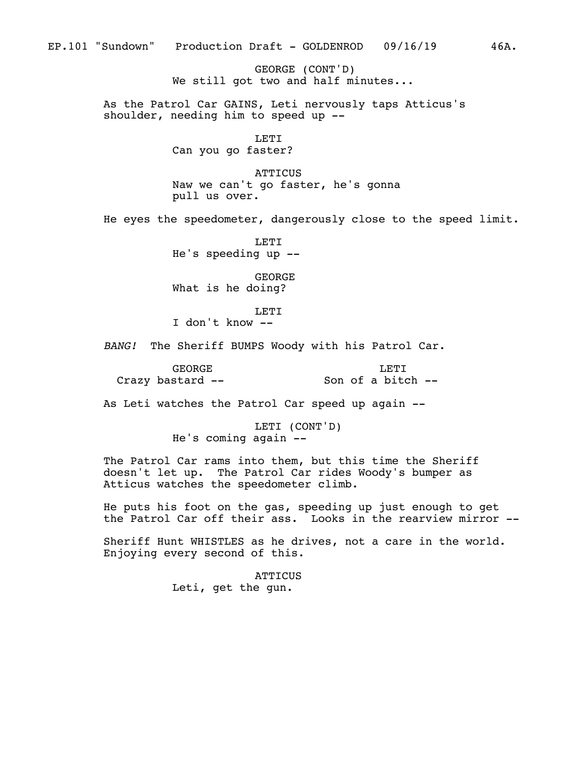GEORGE (CONT'D) We still got two and half minutes...

As the Patrol Car GAINS, Leti nervously taps Atticus's shoulder, needing him to speed up --

> LETI Can you go faster?

**ATTICUS** Naw we can't go faster, he's gonna pull us over.

He eyes the speedometer, dangerously close to the speed limit.

LETI He's speeding up --

GEORGE What is he doing?

LETI

I don't know --

*BANG!* The Sheriff BUMPS Woody with his Patrol Car.

GEORGE Crazy bastard -- LETI Son of a bitch --

As Leti watches the Patrol Car speed up again --

LETI (CONT'D) He's coming again --

The Patrol Car rams into them, but this time the Sheriff doesn't let up. The Patrol Car rides Woody's bumper as Atticus watches the speedometer climb.

He puts his foot on the gas, speeding up just enough to get the Patrol Car off their ass. Looks in the rearview mirror --

Sheriff Hunt WHISTLES as he drives, not a care in the world. Enjoying every second of this.

> **ATTICUS** Leti, get the gun.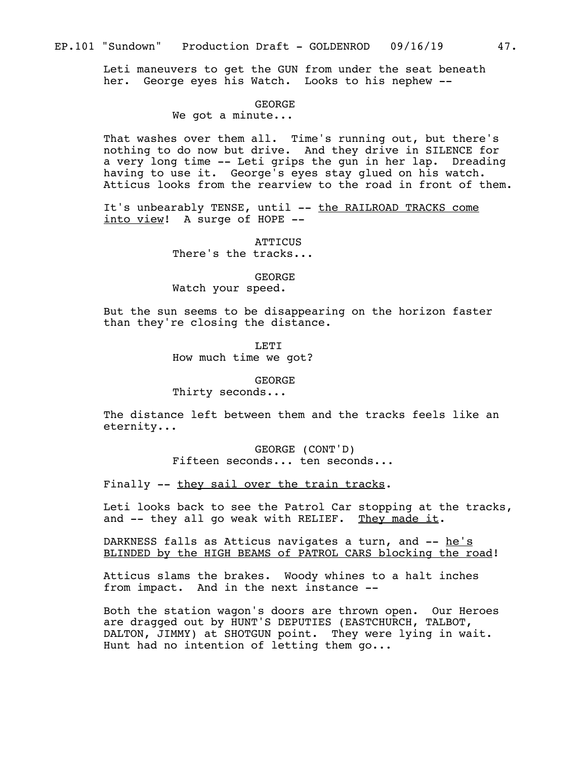Leti maneuvers to get the GUN from under the seat beneath her. George eyes his Watch. Looks to his nephew --

## GEORGE

# We got a minute...

That washes over them all. Time's running out, but there's nothing to do now but drive. And they drive in SILENCE for a very long time -- Leti grips the gun in her lap. Dreading having to use it. George's eyes stay glued on his watch. Atticus looks from the rearview to the road in front of them.

It's unbearably TENSE, until -- the RAILROAD TRACKS come into view! A surge of HOPE --

> ATTICUS There's the tracks...

## GEORGE Watch your speed.

But the sun seems to be disappearing on the horizon faster than they're closing the distance.

> **LETT** How much time we got?

## GEORGE

Thirty seconds...

The distance left between them and the tracks feels like an eternity...

> GEORGE (CONT'D) Fifteen seconds... ten seconds...

Finally -- they sail over the train tracks.

Leti looks back to see the Patrol Car stopping at the tracks, and -- they all go weak with RELIEF. They made it.

DARKNESS falls as Atticus navigates a turn, and -- he's BLINDED by the HIGH BEAMS of PATROL CARS blocking the road!

Atticus slams the brakes. Woody whines to a halt inches from impact. And in the next instance --

Both the station wagon's doors are thrown open. Our Heroes are dragged out by HUNT'S DEPUTIES (EASTCHURCH, TALBOT, DALTON, JIMMY) at SHOTGUN point. They were lying in wait. Hunt had no intention of letting them go...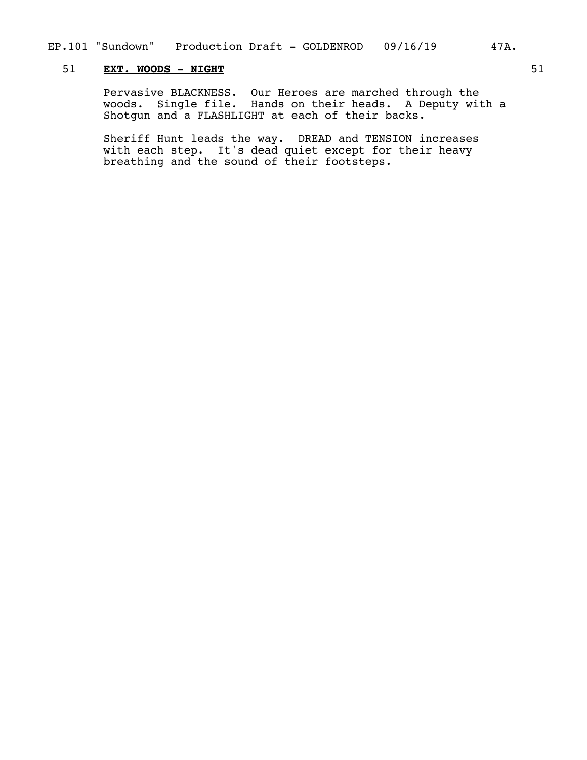# 51 **EXT. WOODS - NIGHT** 51

Pervasive BLACKNESS. Our Heroes are marched through the woods. Single file. Hands on their heads. A Deputy with a Shotgun and a FLASHLIGHT at each of their backs.

Sheriff Hunt leads the way. DREAD and TENSION increases with each step. It's dead quiet except for their heavy breathing and the sound of their footsteps.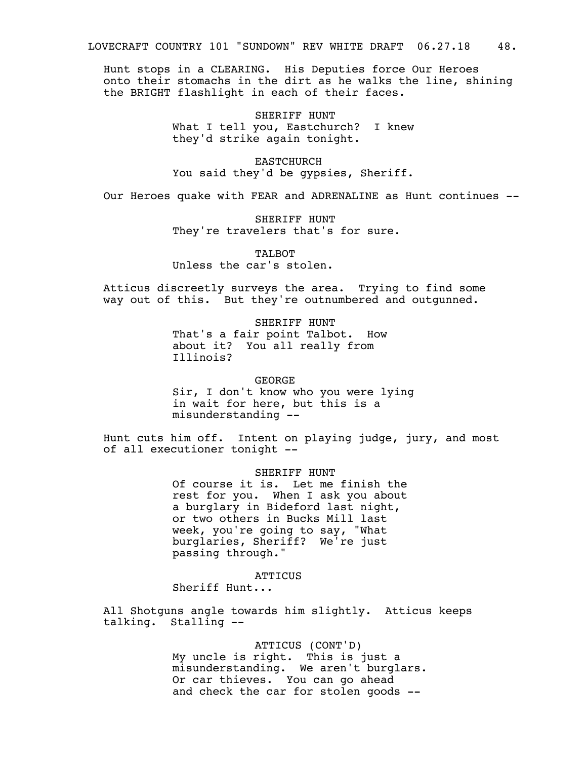Hunt stops in a CLEARING. His Deputies force Our Heroes onto their stomachs in the dirt as he walks the line, shining the BRIGHT flashlight in each of their faces.

> SHERIFF HUNT What I tell you, Eastchurch? I knew they'd strike again tonight.

EASTCHURCH You said they'd be gypsies, Sheriff.

Our Heroes quake with FEAR and ADRENALINE as Hunt continues --

SHERIFF HUNT They're travelers that's for sure.

TALBOT Unless the car's stolen.

Atticus discreetly surveys the area. Trying to find some way out of this. But they're outnumbered and outgunned.

> SHERIFF HUNT That's a fair point Talbot. How about it? You all really from Illinois?

> > GEORGE

Sir, I don't know who you were lying in wait for here, but this is a misunderstanding --

Hunt cuts him off. Intent on playing judge, jury, and most of all executioner tonight --

> SHERIFF HUNT Of course it is. Let me finish the rest for you. When I ask you about a burglary in Bideford last night, or two others in Bucks Mill last week, you're going to say, "What burglaries, Sheriff? We're just passing through."

> > **ATTICUS**

Sheriff Hunt...

All Shotguns angle towards him slightly. Atticus keeps talking. Stalling --

> ATTICUS (CONT'D) My uncle is right. This is just a misunderstanding. We aren't burglars. Or car thieves. You can go ahead and check the car for stolen goods --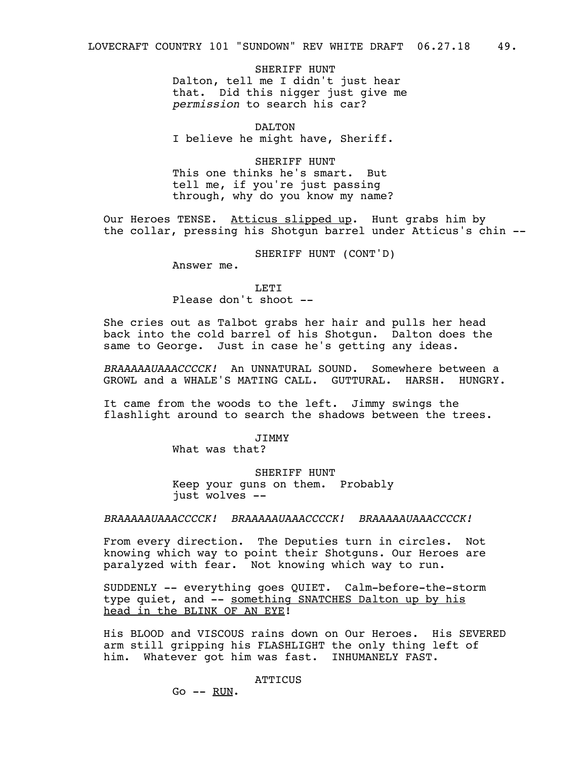SHERIFF HUNT Dalton, tell me I didn't just hear that. Did this nigger just give me *permission* to search his car?

DALTON I believe he might have, Sheriff.

SHERIFF HUNT This one thinks he's smart. But tell me, if you're just passing through, why do you know my name?

Our Heroes TENSE. Atticus slipped up. Hunt grabs him by the collar, pressing his Shotgun barrel under Atticus's chin --

SHERIFF HUNT (CONT'D)

Answer me.

**LETT** Please don't shoot --

She cries out as Talbot grabs her hair and pulls her head back into the cold barrel of his Shotgun. Dalton does the same to George. Just in case he's getting any ideas.

*BRAAAAAUAAACCCCK!* An UNNATURAL SOUND. Somewhere between a GROWL and a WHALE'S MATING CALL. GUTTURAL. HARSH. HUNGRY.

It came from the woods to the left. Jimmy swings the flashlight around to search the shadows between the trees.

JIMMY

What was that?

SHERIFF HUNT Keep your guns on them. Probably just wolves --

*BRAAAAAUAAACCCCK! BRAAAAAUAAACCCCK! BRAAAAAUAAACCCCK!*

From every direction. The Deputies turn in circles. Not knowing which way to point their Shotguns. Our Heroes are paralyzed with fear. Not knowing which way to run.

SUDDENLY -- everything goes QUIET. Calm-before-the-storm type quiet, and -- something SNATCHES Dalton up by his head in the BLINK OF AN EYE!

His BLOOD and VISCOUS rains down on Our Heroes. His SEVERED arm still gripping his FLASHLIGHT the only thing left of him. Whatever got him was fast. INHUMANELY FAST.

**ATTICUS** 

 $Go$  --  $RUN$ .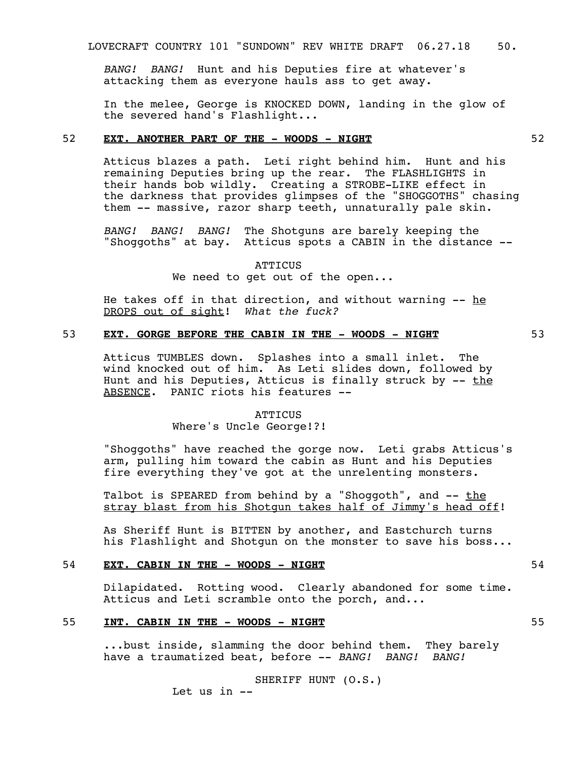*BANG! BANG!* Hunt and his Deputies fire at whatever's attacking them as everyone hauls ass to get away.

In the melee, George is KNOCKED DOWN, landing in the glow of the severed hand's Flashlight...

# 52 **EXT. ANOTHER PART OF THE - WOODS - NIGHT** 52

Atticus blazes a path. Leti right behind him. Hunt and his remaining Deputies bring up the rear. The FLASHLIGHTS in their hands bob wildly. Creating a STROBE-LIKE effect in the darkness that provides glimpses of the "SHOGGOTHS" chasing them -- massive, razor sharp teeth, unnaturally pale skin.

*BANG! BANG! BANG!* The Shotguns are barely keeping the "Shoggoths" at bay. Atticus spots a CABIN in the distance --

> **ATTICUS** We need to get out of the open...

He takes off in that direction, and without warning  $-$ - he DROPS out of sight! *What the fuck?*

# 53 **EXT. GORGE BEFORE THE CABIN IN THE - WOODS - NIGHT** 53

Atticus TUMBLES down. Splashes into a small inlet. The wind knocked out of him. As Leti slides down, followed by Hunt and his Deputies, Atticus is finally struck by  $-$  the ABSENCE. PANIC riots his features --

# **ATTICUS** Where's Uncle George!?!

"Shoggoths" have reached the gorge now. Leti grabs Atticus's arm, pulling him toward the cabin as Hunt and his Deputies fire everything they've got at the unrelenting monsters.

Talbot is SPEARED from behind by a "Shoqqoth", and  $-$ - the stray blast from his Shotgun takes half of Jimmy's head off!

As Sheriff Hunt is BITTEN by another, and Eastchurch turns his Flashlight and Shotgun on the monster to save his boss...

# 54 **EXT. CABIN IN THE - WOODS - NIGHT** 54

Dilapidated. Rotting wood. Clearly abandoned for some time. Atticus and Leti scramble onto the porch, and...

## 55 **INT. CABIN IN THE - WOODS - NIGHT** 55

...bust inside, slamming the door behind them. They barely have a traumatized beat, before -- *BANG! BANG! BANG!* 

> SHERIFF HUNT (O.S.) Let us in --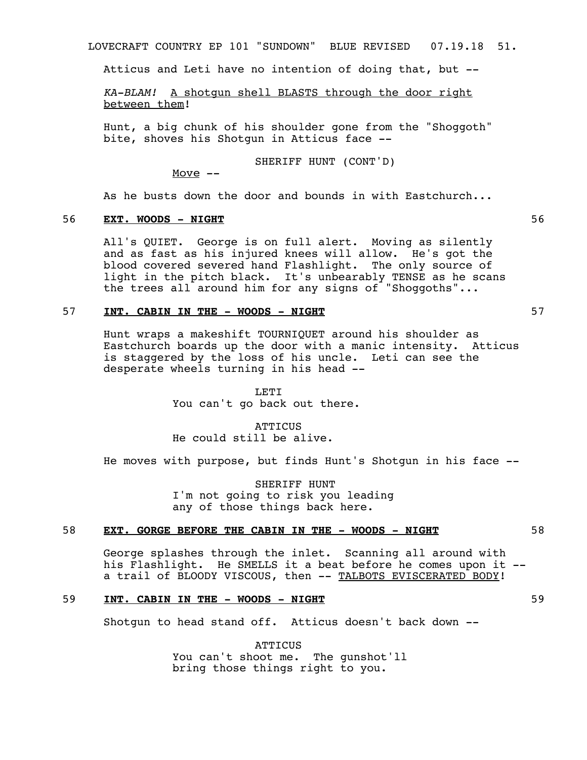LOVECRAFT COUNTRY EP 101 "SUNDOWN" BLUE REVISED 07.19.18 51.

Atticus and Leti have no intention of doing that, but --

*KA-BLAM!* A shotgun shell BLASTS through the door right between them!

Hunt, a big chunk of his shoulder gone from the "Shoggoth" bite, shoves his Shotgun in Atticus face --

SHERIFF HUNT (CONT'D)

Move  $--$ 

As he busts down the door and bounds in with Eastchurch...

# 56 **EXT. WOODS - NIGHT** 56

All's QUIET. George is on full alert. Moving as silently and as fast as his injured knees will allow. He's got the blood covered severed hand Flashlight. The only source of light in the pitch black. It's unbearably TENSE as he scans the trees all around him for any signs of "Shoggoths"...

# 57 **INT. CABIN IN THE - WOODS - NIGHT** 57

Hunt wraps a makeshift TOURNIQUET around his shoulder as Eastchurch boards up the door with a manic intensity. Atticus is staggered by the loss of his uncle. Leti can see the desperate wheels turning in his head --

> LETI You can't go back out there.

**ATTICUS** He could still be alive.

He moves with purpose, but finds Hunt's Shotgun in his face --

SHERIFF HUNT I'm not going to risk you leading any of those things back here.

### 58 **EXT. GORGE BEFORE THE CABIN IN THE - WOODS - NIGHT** 58

George splashes through the inlet. Scanning all around with his Flashlight. He SMELLS it a beat before he comes upon it - a trail of BLOODY VISCOUS, then -- TALBOTS EVISCERATED BODY!

# 59 **INT. CABIN IN THE - WOODS - NIGHT** 59

Shotgun to head stand off. Atticus doesn't back down --

**ATTICUS** You can't shoot me. The gunshot'll bring those things right to you.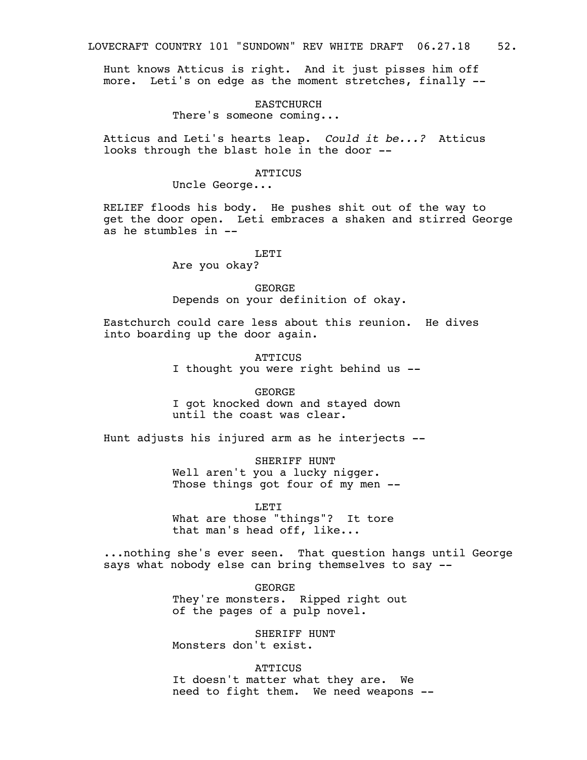Hunt knows Atticus is right. And it just pisses him off more. Leti's on edge as the moment stretches, finally --

EASTCHURCH

There's someone coming...

Atticus and Leti's hearts leap. *Could it be...?* Atticus looks through the blast hole in the door --

**ATTICUS** 

Uncle George...

RELIEF floods his body. He pushes shit out of the way to get the door open. Leti embraces a shaken and stirred George as he stumbles in --

LETI

Are you okay?

GEORGE Depends on your definition of okay.

Eastchurch could care less about this reunion. He dives into boarding up the door again.

> **ATTICUS** I thought you were right behind us --

GEORGE I got knocked down and stayed down until the coast was clear.

Hunt adjusts his injured arm as he interjects --

SHERIFF HUNT Well aren't you a lucky nigger. Those things got four of my men --

LETI

What are those "things"? It tore that man's head off, like...

...nothing she's ever seen. That question hangs until George says what nobody else can bring themselves to say --

> GEORGE They're monsters. Ripped right out of the pages of a pulp novel.

SHERIFF HUNT Monsters don't exist.

**ATTICUS** It doesn't matter what they are. We need to fight them. We need weapons --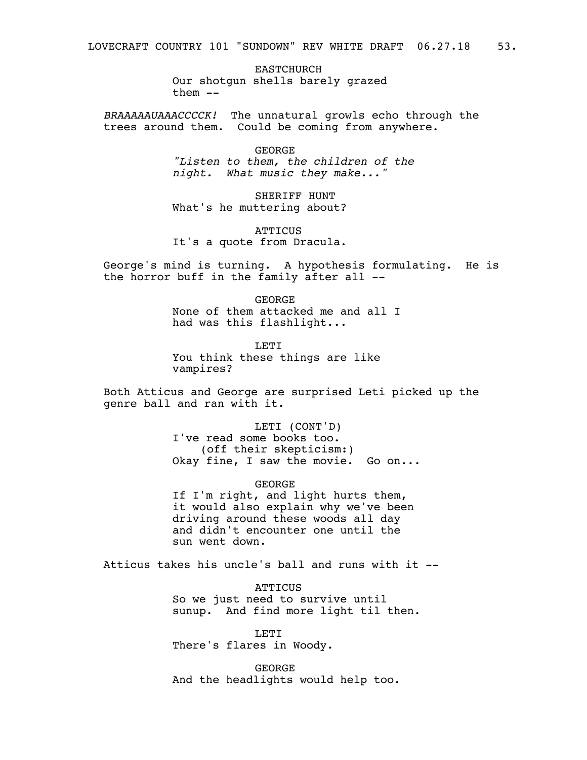EASTCHURCH Our shotgun shells barely grazed  $then$   $--$ 

*BRAAAAAUAAACCCCK!* The unnatural growls echo through the trees around them. Could be coming from anywhere.

> GEORGE *"Listen to them, the children of the night. What music they make..."*

SHERIFF HUNT What's he muttering about?

**ATTICUS** It's a quote from Dracula.

George's mind is turning. A hypothesis formulating. He is the horror buff in the family after all --

> GEORGE None of them attacked me and all I had was this flashlight...

**LETT** You think these things are like vampires?

Both Atticus and George are surprised Leti picked up the genre ball and ran with it.

> LETI (CONT'D) I've read some books too. (off their skepticism:) Okay fine, I saw the movie. Go on...

GEORGE If I'm right, and light hurts them, it would also explain why we've been driving around these woods all day and didn't encounter one until the sun went down.

Atticus takes his uncle's ball and runs with it --

ATTICUS So we just need to survive until sunup. And find more light til then.

LETI There's flares in Woody.

GEORGE And the headlights would help too.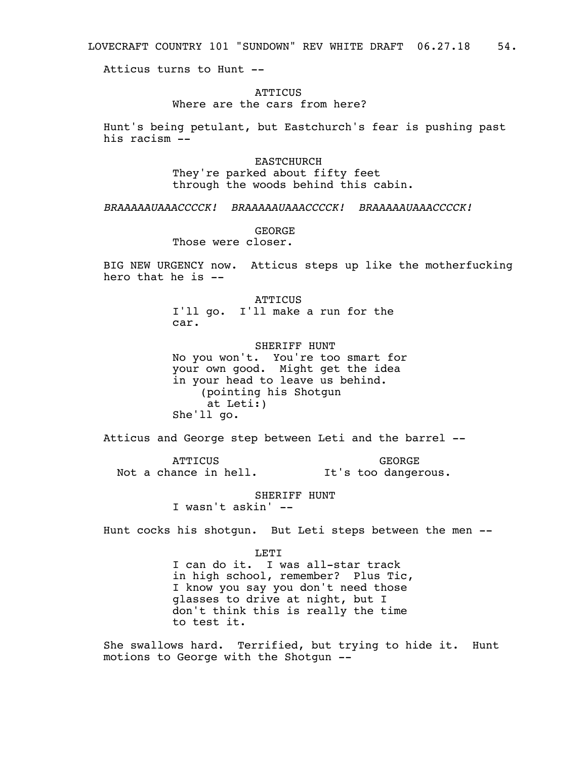LOVECRAFT COUNTRY 101 "SUNDOWN" REV WHITE DRAFT 06.27.18 54.

Atticus turns to Hunt --

## **ATTICUS**

# Where are the cars from here?

Hunt's being petulant, but Eastchurch's fear is pushing past his racism --

> EASTCHURCH They're parked about fifty feet through the woods behind this cabin.

*BRAAAAAUAAACCCCK! BRAAAAAUAAACCCCK! BRAAAAAUAAACCCCK!*

GEORGE

Those were closer.

BIG NEW URGENCY now. Atticus steps up like the motherfucking hero that he is  $-$ 

> ATTICUS I'll go. I'll make a run for the car.

SHERIFF HUNT No you won't. You're too smart for your own good. Might get the idea in your head to leave us behind. (pointing his Shotgun at Leti:) She'll go.

Atticus and George step between Leti and the barrel --

**ATTICUS** Not a chance in hell. It's too dangerous. GEORGE

> SHERIFF HUNT I wasn't askin' --

Hunt cocks his shotgun. But Leti steps between the men --

LETI

I can do it. I was all-star track in high school, remember? Plus Tic, I know you say you don't need those glasses to drive at night, but I don't think this is really the time to test it.

She swallows hard. Terrified, but trying to hide it. Hunt motions to George with the Shotgun --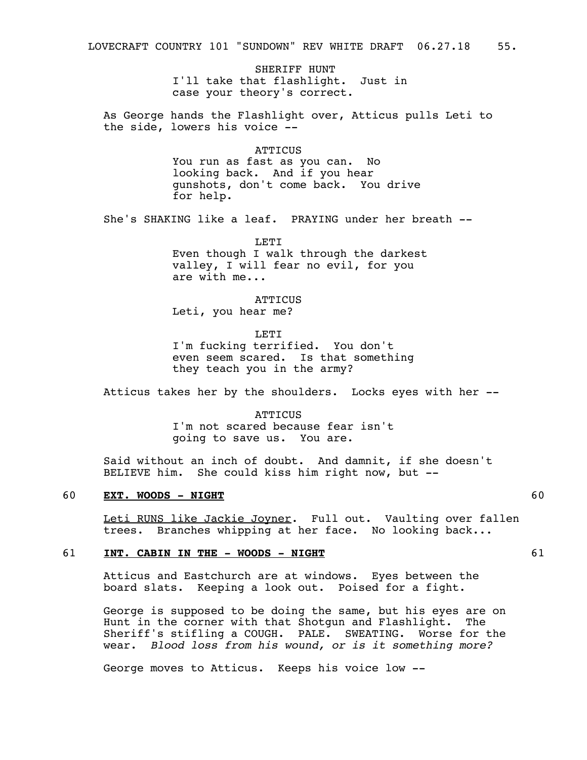SHERIFF HUNT I'll take that flashlight. Just in case your theory's correct.

As George hands the Flashlight over, Atticus pulls Leti to the side, lowers his voice --

#### **ATTICUS**

You run as fast as you can. No looking back. And if you hear gunshots, don't come back. You drive for help.

She's SHAKING like a leaf. PRAYING under her breath --

LETI Even though I walk through the darkest valley, I will fear no evil, for you are with me...

**ATTICUS** Leti, you hear me?

LETI

I'm fucking terrified. You don't even seem scared. Is that something they teach you in the army?

Atticus takes her by the shoulders. Locks eyes with her --

**ATTICUS** I'm not scared because fear isn't going to save us. You are.

Said without an inch of doubt. And damnit, if she doesn't BELIEVE him. She could kiss him right now, but --

#### 60 **EXT. WOODS - NIGHT** 60

Leti RUNS like Jackie Joyner. Full out. Vaulting over fallen trees. Branches whipping at her face. No looking back...

#### 61 **INT. CABIN IN THE - WOODS - NIGHT** 61

Atticus and Eastchurch are at windows. Eyes between the board slats. Keeping a look out. Poised for a fight.

George is supposed to be doing the same, but his eyes are on Hunt in the corner with that Shotgun and Flashlight. The Sheriff's stifling a COUGH. PALE. SWEATING. Worse for the wear. *Blood loss from his wound, or is it something more?* 

George moves to Atticus. Keeps his voice low --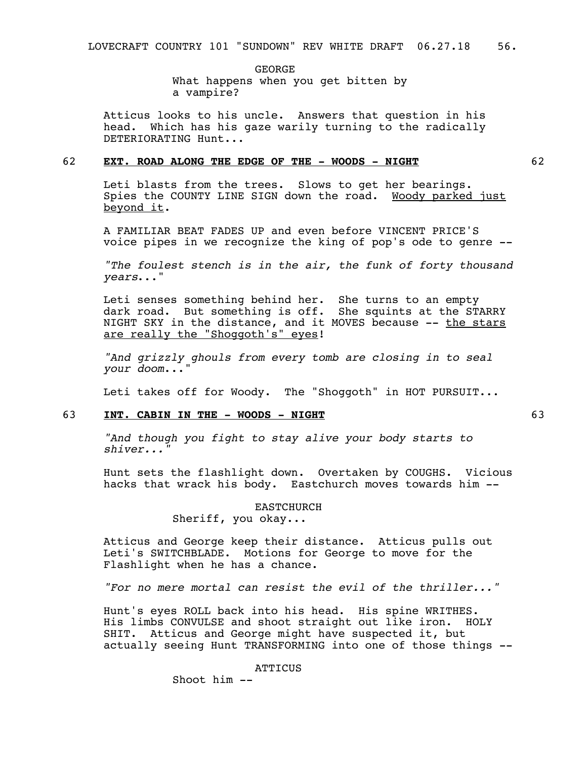GEORGE What happens when you get bitten by a vampire?

Atticus looks to his uncle. Answers that question in his head. Which has his gaze warily turning to the radically DETERIORATING Hunt...

# 62 **EXT. ROAD ALONG THE EDGE OF THE - WOODS - NIGHT** 62

Leti blasts from the trees. Slows to get her bearings. Spies the COUNTY LINE SIGN down the road. Woody parked just beyond it.

A FAMILIAR BEAT FADES UP and even before VINCENT PRICE'S voice pipes in we recognize the king of pop's ode to genre --

*"The foulest stench is in the air, the funk of forty thousand years*..."

Leti senses something behind her. She turns to an empty dark road. But something is off. She squints at the STARRY NIGHT SKY in the distance, and it MOVES because -- the stars are really the "Shoggoth's" eyes!

*"And grizzly ghouls from every tomb are closing in to seal your doom*..."

Leti takes off for Woody. The "Shoggoth" in HOT PURSUIT...

# 63 **INT. CABIN IN THE - WOODS - NIGHT** 63

*"And though you fight to stay alive your body starts to shiver..."*

Hunt sets the flashlight down. Overtaken by COUGHS. Vicious hacks that wrack his body. Eastchurch moves towards him --

# EASTCHURCH

Sheriff, you okay...

Atticus and George keep their distance. Atticus pulls out Leti's SWITCHBLADE. Motions for George to move for the Flashlight when he has a chance.

*"For no mere mortal can resist the evil of the thriller..."*

Hunt's eyes ROLL back into his head. His spine WRITHES. His limbs CONVULSE and shoot straight out like iron. HOLY SHIT. Atticus and George might have suspected it, but actually seeing Hunt TRANSFORMING into one of those things --

ATTICUS

Shoot him --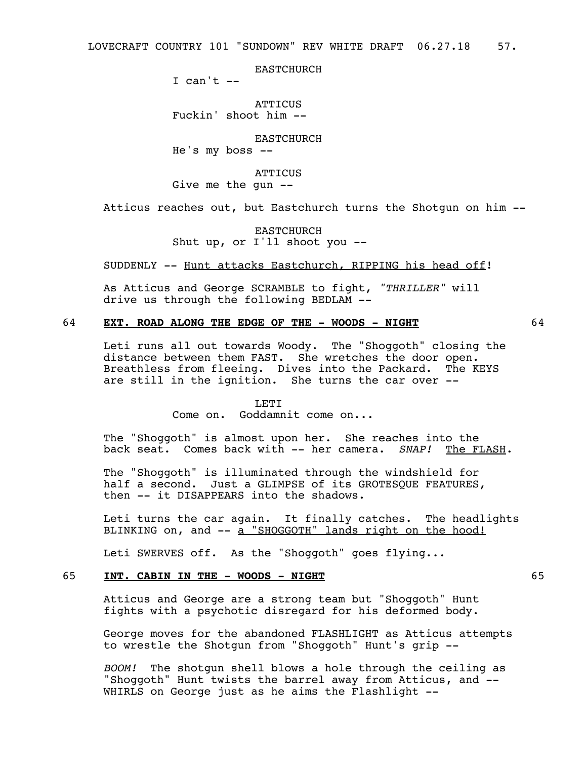EASTCHURCH

I can't  $--$ 

**ATTICUS** Fuckin' shoot him --

EASTCHURCH

He's my boss --

**ATTICUS** Give me the gun --

Atticus reaches out, but Eastchurch turns the Shotgun on him --

EASTCHURCH Shut up, or I'll shoot you --

SUDDENLY -- Hunt attacks Eastchurch, RIPPING his head off!

As Atticus and George SCRAMBLE to fight, *"THRILLER"* will drive us through the following BEDLAM --

# 64 **EXT. ROAD ALONG THE EDGE OF THE - WOODS - NIGHT** 64

Leti runs all out towards Woody. The "Shoggoth" closing the distance between them FAST. She wretches the door open. Breathless from fleeing. Dives into the Packard. The KEYS are still in the ignition. She turns the car over --

#### LETT.

Come on. Goddamnit come on...

The "Shoggoth" is almost upon her. She reaches into the back seat. Comes back with -- her camera. *SNAP!* The FLASH.

The "Shoggoth" is illuminated through the windshield for half a second. Just a GLIMPSE of its GROTESOUE FEATURES, then -- it DISAPPEARS into the shadows.

Leti turns the car again. It finally catches. The headlights BLINKING on, and -- a "SHOGGOTH" lands right on the hood!

Leti SWERVES off. As the "Shoggoth" goes flying...

# 65 **INT. CABIN IN THE - WOODS - NIGHT** 65

Atticus and George are a strong team but "Shoggoth" Hunt fights with a psychotic disregard for his deformed body.

George moves for the abandoned FLASHLIGHT as Atticus attempts to wrestle the Shotgun from "Shoggoth" Hunt's grip --

*BOOM!* The shotgun shell blows a hole through the ceiling as "Shoggoth" Hunt twists the barrel away from Atticus, and -- WHIRLS on George just as he aims the Flashlight --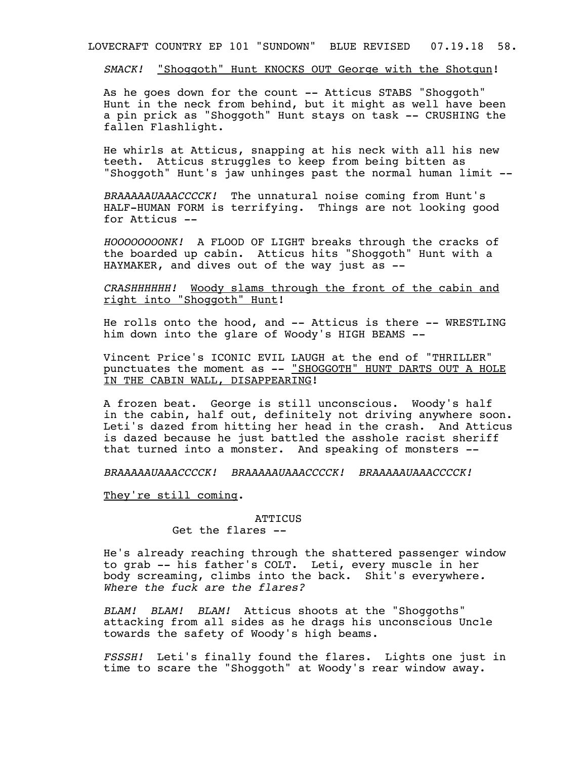LOVECRAFT COUNTRY EP 101 "SUNDOWN" BLUE REVISED 07.19.18 58.

*SMACK!* "Shoggoth" Hunt KNOCKS OUT George with the Shotgun!

As he goes down for the count -- Atticus STABS "Shoggoth" Hunt in the neck from behind, but it might as well have been a pin prick as "Shoggoth" Hunt stays on task -- CRUSHING the fallen Flashlight.

He whirls at Atticus, snapping at his neck with all his new teeth. Atticus struggles to keep from being bitten as "Shoggoth" Hunt's jaw unhinges past the normal human limit --

*BRAAAAAUAAACCCCK!* The unnatural noise coming from Hunt's HALF-HUMAN FORM is terrifying. Things are not looking good for Atticus --

*HOOOOOOOONK!* A FLOOD OF LIGHT breaks through the cracks of the boarded up cabin. Atticus hits "Shoggoth" Hunt with a HAYMAKER, and dives out of the way just as --

*CRASHHHHHH!* Woody slams through the front of the cabin and right into "Shoggoth" Hunt!

He rolls onto the hood, and -- Atticus is there -- WRESTLING him down into the glare of Woody's HIGH BEAMS --

Vincent Price's ICONIC EVIL LAUGH at the end of "THRILLER" punctuates the moment as -- "SHOGGOTH" HUNT DARTS OUT A HOLE IN THE CABIN WALL, DISAPPEARING!

A frozen beat. George is still unconscious. Woody's half in the cabin, half out, definitely not driving anywhere soon. Leti's dazed from hitting her head in the crash. And Atticus is dazed because he just battled the asshole racist sheriff that turned into a monster. And speaking of monsters --

*BRAAAAAUAAACCCCK! BRAAAAAUAAACCCCK! BRAAAAAUAAACCCCK!*

They're still coming.

# ATTICUS

Get the flares --

He's already reaching through the shattered passenger window to grab -- his father's COLT. Leti, every muscle in her body screaming, climbs into the back. Shit's everywhere*. Where the fuck are the flares?* 

*BLAM! BLAM! BLAM!* Atticus shoots at the "Shoggoths" attacking from all sides as he drags his unconscious Uncle towards the safety of Woody's high beams.

*FSSSH!* Leti's finally found the flares. Lights one just in time to scare the "Shoggoth" at Woody's rear window away.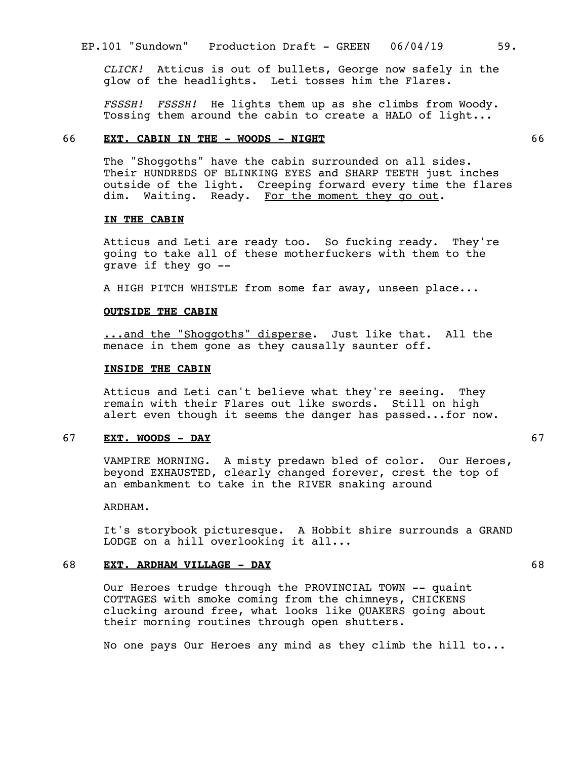*CLICK!* Atticus is out of bullets, George now safely in the glow of the headlights. Leti tosses him the Flares.

*FSSSH! FSSSH!* He lights them up as she climbs from Woody. Tossing them around the cabin to create a HALO of light...

# 66 **EXT. CABIN IN THE - WOODS - NIGHT** 66

The "Shoggoths" have the cabin surrounded on all sides. Their HUNDREDS OF BLINKING EYES and SHARP TEETH just inches outside of the light. Creeping forward every time the flares dim. Waiting. Ready. For the moment they go out.

#### **IN THE CABIN**

Atticus and Leti are ready too. So fucking ready. They're going to take all of these motherfuckers with them to the grave if they go --

A HIGH PITCH WHISTLE from some far away, unseen place...

### **OUTSIDE THE CABIN**

...and the "Shoggoths" disperse. Just like that. All the menace in them gone as they causally saunter off.

#### **INSIDE THE CABIN**

Atticus and Leti can't believe what they're seeing. They remain with their Flares out like swords. Still on high alert even though it seems the danger has passed...for now.

# 67 **EXT. WOODS - DAY** 67

VAMPIRE MORNING. A misty predawn bled of color. Our Heroes, beyond EXHAUSTED, clearly changed forever, crest the top of an embankment to take in the RIVER snaking around

ARDHAM.

It's storybook picturesque. A Hobbit shire surrounds a GRAND LODGE on a hill overlooking it all...

# 68 **EXT. ARDHAM VILLAGE - DAY** 68

Our Heroes trudge through the PROVINCIAL TOWN -- quaint COTTAGES with smoke coming from the chimneys, CHICKENS clucking around free, what looks like QUAKERS going about their morning routines through open shutters.

No one pays Our Heroes any mind as they climb the hill to...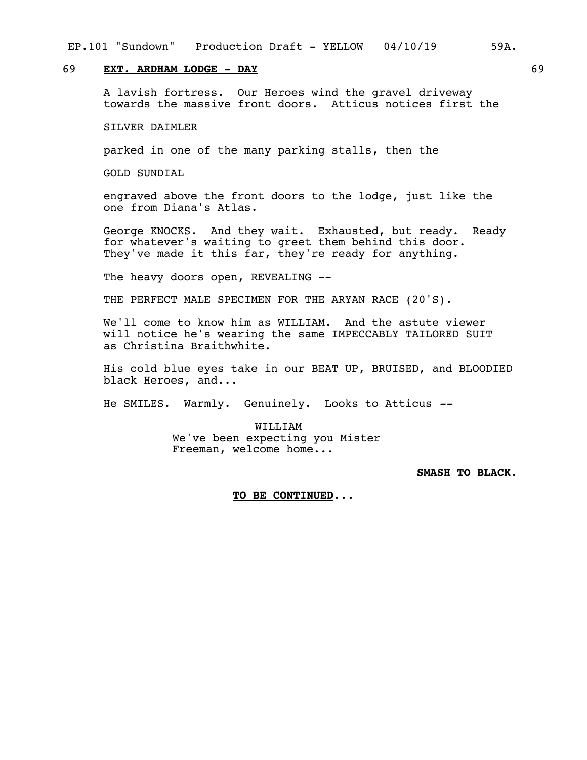#### EP.101 "Sundown" Production Draft - YELLOW 04/10/19 59A.

# 69 **EXT. ARDHAM LODGE - DAY** 69

A lavish fortress. Our Heroes wind the gravel driveway towards the massive front doors. Atticus notices first the

SILVER DAIMLER

parked in one of the many parking stalls, then the

GOLD SUNDIAL

engraved above the front doors to the lodge, just like the one from Diana's Atlas.

George KNOCKS. And they wait. Exhausted, but ready. Ready for whatever's waiting to greet them behind this door. They've made it this far, they're ready for anything.

The heavy doors open, REVEALING --

THE PERFECT MALE SPECIMEN FOR THE ARYAN RACE (20'S).

We'll come to know him as WILLIAM. And the astute viewer will notice he's wearing the same IMPECCABLY TAILORED SUIT as Christina Braithwhite.

His cold blue eyes take in our BEAT UP, BRUISED, and BLOODIED black Heroes, and...

He SMILES. Warmly. Genuinely. Looks to Atticus *--*

WILLIAM We've been expecting you Mister Freeman, welcome home...

**SMASH TO BLACK.**

#### **TO BE CONTINUED...**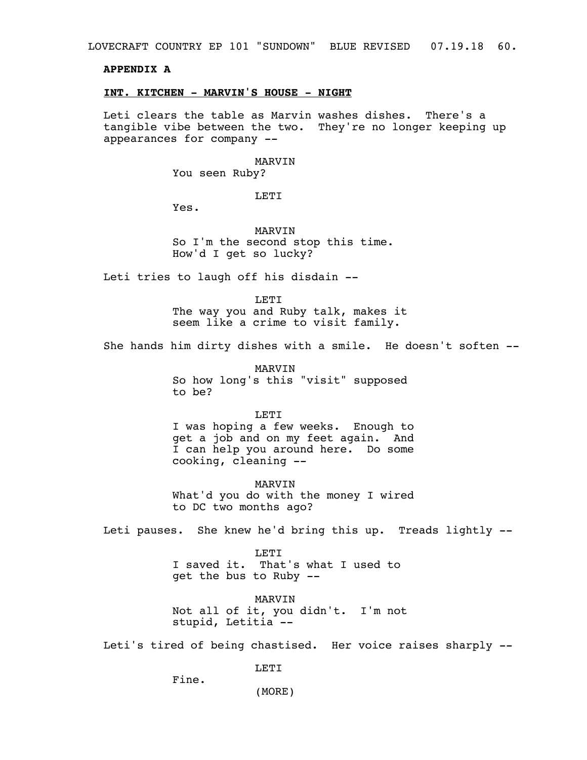LOVECRAFT COUNTRY EP 101 "SUNDOWN" BLUE REVISED 07.19.18 60.

# **APPENDIX A**

#### **INT. KITCHEN - MARVIN'S HOUSE - NIGHT**

Leti clears the table as Marvin washes dishes. There's a tangible vibe between the two. They're no longer keeping up appearances for company --

#### MARVIN

You seen Ruby?

LETI

Yes.

MARVIN So I'm the second stop this time. How'd I get so lucky?

Leti tries to laugh off his disdain --

LETI

The way you and Ruby talk, makes it seem like a crime to visit family.

She hands him dirty dishes with a smile. He doesn't soften --

MARVIN So how long's this "visit" supposed to be?

LETI

I was hoping a few weeks. Enough to get a job and on my feet again. And I can help you around here. Do some cooking, cleaning --

MARVIN What'd you do with the money I wired to DC two months ago?

Leti pauses. She knew he'd bring this up. Treads lightly --

LETI I saved it. That's what I used to get the bus to Ruby --

MARVIN Not all of it, you didn't. I'm not stupid, Letitia --

Leti's tired of being chastised. Her voice raises sharply --

LETI

Fine.

(MORE)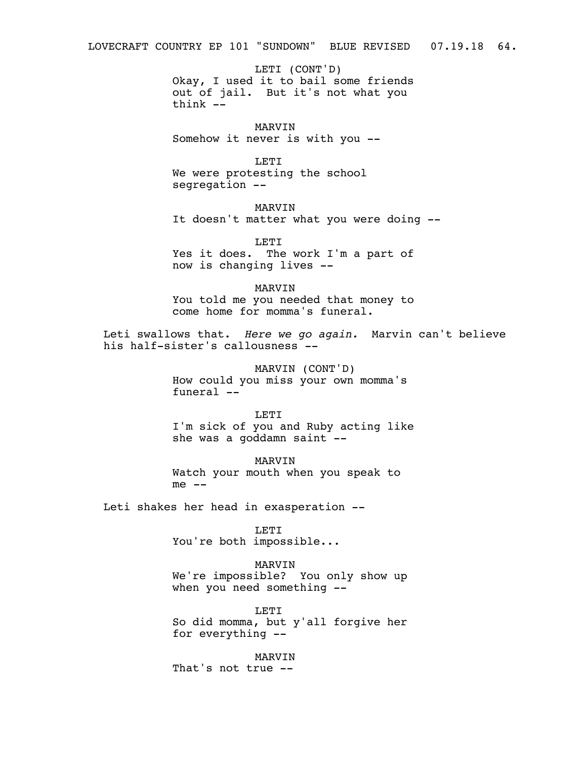LETI (CONT'D) Okay, I used it to bail some friends out of jail. But it's not what you think --

MARVIN Somehow it never is with you --

LETI We were protesting the school segregation --

MARVIN It doesn't matter what you were doing --

LETI Yes it does. The work I'm a part of now is changing lives --

MARVIN You told me you needed that money to come home for momma's funeral.

Leti swallows that. *Here we go again.* Marvin can't believe his half-sister's callousness --

> MARVIN (CONT'D) How could you miss your own momma's funeral --

LETI I'm sick of you and Ruby acting like she was a goddamn saint --

MARVIN Watch your mouth when you speak to  $me$   $--$ 

Leti shakes her head in exasperation --

LETT.

You're both impossible...

MARVIN

We're impossible? You only show up when you need something --

LETI So did momma, but y'all forgive her for everything --

MARVIN That's not true --